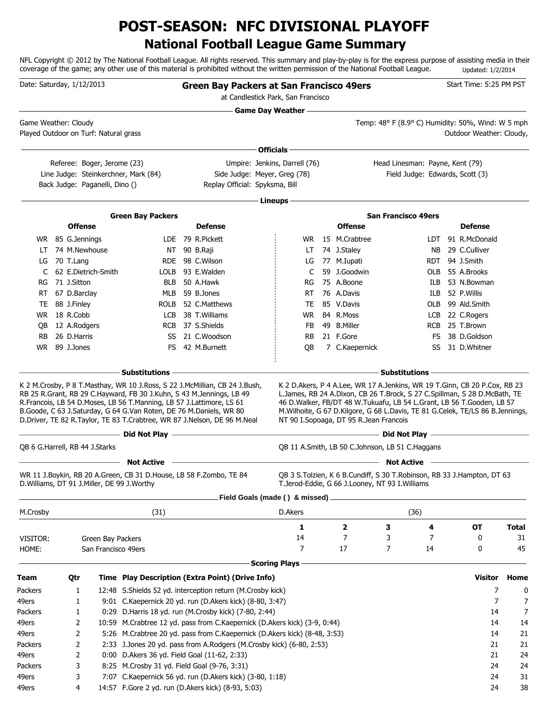## **National Football League Game Summary POST-SEASON: NFC DIVISIONAL PLAYOFF**

NFL Copyright © 2012 by The National Football League. All rights reserved. This summary and play-by-play is for the express purpose of assisting media in their coverage of the game; any other use of this material is prohibited without the written permission of the National Football League. Updated: 1/2/2014

|                      | Date: Saturday, 1/12/2013 |                |                                               |                                                                                                                                                                                                                        |  | <b>Green Bay Packers at San Francisco 49ers</b>                           | at Candlestick Park, San Francisco |     |                                        |                                                                                                                                                                                                                                         |      | Start Time: 5:25 PM PST         |                |              |
|----------------------|---------------------------|----------------|-----------------------------------------------|------------------------------------------------------------------------------------------------------------------------------------------------------------------------------------------------------------------------|--|---------------------------------------------------------------------------|------------------------------------|-----|----------------------------------------|-----------------------------------------------------------------------------------------------------------------------------------------------------------------------------------------------------------------------------------------|------|---------------------------------|----------------|--------------|
| Game Weather: Cloudy |                           |                | Played Outdoor on Turf: Natural grass         |                                                                                                                                                                                                                        |  |                                                                           | <b>Game Day Weather -</b>          |     |                                        | Temp: 48° F (8.9° C) Humidity: 50%, Wind: W 5 mph                                                                                                                                                                                       |      | Outdoor Weather: Cloudy,        |                |              |
|                      |                           |                |                                               |                                                                                                                                                                                                                        |  |                                                                           | Officials -                        |     |                                        |                                                                                                                                                                                                                                         |      |                                 |                |              |
|                      |                           |                | Referee: Boger, Jerome (23)                   | Line Judge: Steinkerchner, Mark (84)                                                                                                                                                                                   |  | Side Judge: Meyer, Greg (78)                                              | Umpire: Jenkins, Darrell (76)      |     |                                        | Head Linesman: Payne, Kent (79)                                                                                                                                                                                                         |      | Field Judge: Edwards, Scott (3) |                |              |
|                      |                           |                | Back Judge: Paganelli, Dino ()                |                                                                                                                                                                                                                        |  | Replay Official: Spyksma, Bill                                            |                                    |     |                                        |                                                                                                                                                                                                                                         |      |                                 |                |              |
|                      |                           |                |                                               |                                                                                                                                                                                                                        |  |                                                                           | · Lineups                          |     |                                        |                                                                                                                                                                                                                                         |      |                                 |                |              |
|                      |                           |                |                                               | <b>Green Bay Packers</b>                                                                                                                                                                                               |  |                                                                           |                                    |     |                                        | <b>San Francisco 49ers</b>                                                                                                                                                                                                              |      |                                 |                |              |
|                      |                           |                | <b>Offense</b>                                |                                                                                                                                                                                                                        |  | <b>Defense</b>                                                            |                                    |     | <b>Offense</b>                         |                                                                                                                                                                                                                                         |      | <b>Defense</b>                  |                |              |
|                      |                           |                | WR 85 G.Jennings                              |                                                                                                                                                                                                                        |  | LDE 79 R.Pickett                                                          |                                    | WR. | 15 M.Crabtree                          |                                                                                                                                                                                                                                         | LDT. | 91 R.McDonald                   |                |              |
| LT                   |                           |                | 74 M.Newhouse                                 |                                                                                                                                                                                                                        |  | NT 90 B.Raji                                                              |                                    | LT  | 74 J.Staley                            |                                                                                                                                                                                                                                         | NB.  | 29 C.Culliver                   |                |              |
|                      |                           | LG 70 T.Lang   |                                               |                                                                                                                                                                                                                        |  | RDE 98 C.Wilson                                                           |                                    | LG  | 77 M.Iupati                            |                                                                                                                                                                                                                                         | RDT. | 94 J.Smith                      |                |              |
| C                    |                           |                | 62 E.Dietrich-Smith                           |                                                                                                                                                                                                                        |  | LOLB 93 E.Walden                                                          |                                    | C   | 59 J.Goodwin                           |                                                                                                                                                                                                                                         | OLB  | 55 A.Brooks                     |                |              |
| RG                   |                           | 71 J.Sitton    |                                               | BLB                                                                                                                                                                                                                    |  | 50 A.Hawk                                                                 |                                    | RG  | 75 A.Boone                             |                                                                                                                                                                                                                                         | ILB. | 53 N.Bowman                     |                |              |
|                      |                           |                | RT 67 D.Barclay                               |                                                                                                                                                                                                                        |  | MLB 59 B.Jones                                                            |                                    | RT  | 76 A.Davis                             |                                                                                                                                                                                                                                         | ILB. | 52 P.Willis                     |                |              |
|                      |                           | TE 88 J.Finley |                                               |                                                                                                                                                                                                                        |  | ROLB 52 C.Matthews                                                        |                                    | TE  | 85 V.Davis                             |                                                                                                                                                                                                                                         | OLB  | 99 Ald.Smith                    |                |              |
|                      |                           | WR 18 R.Cobb   |                                               | LCB                                                                                                                                                                                                                    |  | 38 T.Williams                                                             |                                    | WR. | 84 R.Moss                              |                                                                                                                                                                                                                                         |      | LCB 22 C.Rogers                 |                |              |
| OВ                   |                           |                | 12 A.Rodgers                                  |                                                                                                                                                                                                                        |  | RCB 37 S.Shields                                                          |                                    | FB. | 49 B.Miller                            |                                                                                                                                                                                                                                         |      | RCB 25 T.Brown                  |                |              |
| <b>RB</b>            |                           | 26 D.Harris    |                                               |                                                                                                                                                                                                                        |  | SS 21 C.Woodson                                                           |                                    | RB  | 21 F.Gore                              |                                                                                                                                                                                                                                         | FS   | 38 D.Goldson                    |                |              |
|                      |                           | WR 89 J.Jones  |                                               |                                                                                                                                                                                                                        |  | FS 42 M.Burnett                                                           |                                    | QB  | 7 C.Kaepernick                         |                                                                                                                                                                                                                                         | SS   | 31 D.Whitner                    |                |              |
|                      |                           |                |                                               |                                                                                                                                                                                                                        |  |                                                                           |                                    |     |                                        |                                                                                                                                                                                                                                         |      |                                 |                |              |
|                      |                           |                |                                               | RB 25 R.Grant, RB 29 C.Hayward, FB 30 J.Kuhn, S 43 M.Jennings, LB 49<br>R. Francois, LB 54 D. Moses, LB 56 T. Manning, LB 57 J. Lattimore, LS 61<br>B.Goode, C 63 J.Saturday, G 64 G.Van Roten, DE 76 M.Daniels, WR 80 |  | D.Driver, TE 82 R.Taylor, TE 83 T.Crabtree, WR 87 J.Nelson, DE 96 M.Neal  |                                    |     | NT 90 I.Sopoaga, DT 95 R.Jean Francois | L.James, RB 24 A.Dixon, CB 26 T.Brock, S 27 C.Spillman, S 28 D.McBath, TE<br>46 D. Walker, FB/DT 48 W. Tukuafu, LB 54 L. Grant, LB 56 T. Gooden, LB 57<br>M.Wilhoite, G 67 D.Kilgore, G 68 L.Davis, TE 81 G.Celek, TE/LS 86 B.Jennings, |      |                                 |                |              |
|                      |                           |                |                                               |                                                                                                                                                                                                                        |  |                                                                           |                                    |     |                                        |                                                                                                                                                                                                                                         |      |                                 |                |              |
|                      |                           |                | QB 6 G.Harrell, RB 44 J.Starks                |                                                                                                                                                                                                                        |  |                                                                           |                                    |     |                                        | QB 11 A.Smith, LB 50 C.Johnson, LB 51 C.Haggans                                                                                                                                                                                         |      |                                 |                |              |
|                      |                           |                | D. Williams, DT 91 J. Miller, DE 99 J. Worthy | <b>Not Active</b><br>WR 11 J.Boykin, RB 20 A.Green, CB 31 D.House, LB 58 F.Zombo, TE 84                                                                                                                                |  |                                                                           | Field Goals (made () & missed).    |     |                                        | <b>Not Active</b><br>QB 3 S.Tolzien, K 6 B.Cundiff, S 30 T.Robinson, RB 33 J.Hampton, DT 63<br>T.Jerod-Eddie, G 66 J.Looney, NT 93 I.Williams                                                                                           |      |                                 |                |              |
| M.Crosby             |                           |                |                                               | (31)                                                                                                                                                                                                                   |  |                                                                           | D.Akers                            |     |                                        | (36)                                                                                                                                                                                                                                    |      |                                 |                |              |
|                      |                           |                |                                               |                                                                                                                                                                                                                        |  |                                                                           |                                    | 1   | 2                                      | 3                                                                                                                                                                                                                                       | 4    | <b>OT</b>                       |                | <b>Total</b> |
| VISITOR:             |                           |                | Green Bay Packers                             |                                                                                                                                                                                                                        |  |                                                                           |                                    | 14  | 7                                      | 3                                                                                                                                                                                                                                       | 7    | 0                               |                | 31           |
| HOME:                |                           |                | San Francisco 49ers                           |                                                                                                                                                                                                                        |  |                                                                           |                                    | 7   | 17                                     | 7                                                                                                                                                                                                                                       | 14   | 0                               |                | 45           |
|                      |                           |                |                                               |                                                                                                                                                                                                                        |  |                                                                           | <b>Scoring Plays</b>               |     |                                        |                                                                                                                                                                                                                                         |      |                                 |                |              |
| <b>Team</b>          |                           | Qtr            |                                               |                                                                                                                                                                                                                        |  | Time Play Description (Extra Point) (Drive Info)                          |                                    |     |                                        |                                                                                                                                                                                                                                         |      | <b>Visitor</b>                  |                | Home         |
| Packers              |                           | 1              |                                               |                                                                                                                                                                                                                        |  | 12:48 S.Shields 52 yd. interception return (M.Crosby kick)                |                                    |     |                                        |                                                                                                                                                                                                                                         |      |                                 | 7              | 0            |
| 49ers                |                           | 1              |                                               |                                                                                                                                                                                                                        |  | 9:01 C.Kaepernick 20 yd. run (D.Akers kick) (8-80, 3:47)                  |                                    |     |                                        |                                                                                                                                                                                                                                         |      |                                 | $\overline{7}$ | 7            |
| Packers              |                           | 1              |                                               |                                                                                                                                                                                                                        |  | 0:29 D.Harris 18 yd. run (M.Crosby kick) (7-80, 2:44)                     |                                    |     |                                        |                                                                                                                                                                                                                                         |      |                                 | 14             | 7            |
| 49ers                |                           | 2              |                                               |                                                                                                                                                                                                                        |  | 10:59 M.Crabtree 12 yd. pass from C.Kaepernick (D.Akers kick) (3-9, 0:44) |                                    |     |                                        |                                                                                                                                                                                                                                         |      |                                 | 14             | 14           |
| 49ers                |                           | 2              |                                               |                                                                                                                                                                                                                        |  | 5:26 M.Crabtree 20 yd. pass from C.Kaepernick (D.Akers kick) (8-48, 3:53) |                                    |     |                                        |                                                                                                                                                                                                                                         |      |                                 | 14             | 21           |
| Packers              |                           | 2              |                                               |                                                                                                                                                                                                                        |  | 2:33 J.Jones 20 yd. pass from A.Rodgers (M.Crosby kick) (6-80, 2:53)      |                                    |     |                                        |                                                                                                                                                                                                                                         |      |                                 | 21             | 21           |
| 49ers                |                           | 2              |                                               | 0:00 D.Akers 36 yd. Field Goal (11-62, 2:33)                                                                                                                                                                           |  |                                                                           |                                    |     |                                        |                                                                                                                                                                                                                                         |      |                                 | 21             | 24           |
| Packers              |                           | 3              |                                               | 8:25 M.Crosby 31 yd. Field Goal (9-76, 3:31)                                                                                                                                                                           |  |                                                                           |                                    |     |                                        |                                                                                                                                                                                                                                         |      |                                 | 24             | 24           |
| 49ers                |                           | 3              |                                               |                                                                                                                                                                                                                        |  | 7:07 C.Kaepernick 56 yd. run (D.Akers kick) (3-80, 1:18)                  |                                    |     |                                        |                                                                                                                                                                                                                                         |      |                                 | 24             | 31           |
| 49ers                |                           | 4              |                                               |                                                                                                                                                                                                                        |  | 14:57 F.Gore 2 yd. run (D.Akers kick) (8-93, 5:03)                        |                                    |     |                                        |                                                                                                                                                                                                                                         |      |                                 | 24             | 38           |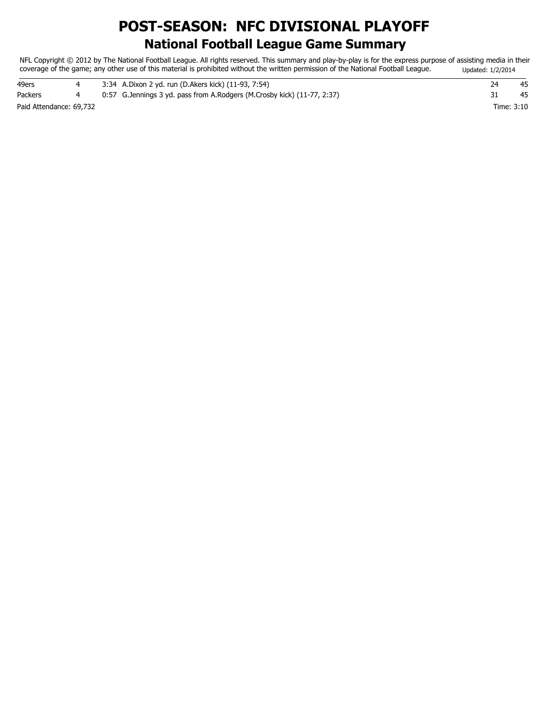## **National Football League Game Summary POST-SEASON: NFC DIVISIONAL PLAYOFF**

NFL Copyright © 2012 by The National Football League. All rights reserved. This summary and play-by-play is for the express purpose of assisting media in their coverage of the game; any other use of this material is prohibited without the written permission of the National Football League. Updated: 1/2/2014

| 49ers                   |  | 3:34 A.Dixon 2 yd. run (D.Akers kick) (11-93, 7:54)                        | 74         | 45 |
|-------------------------|--|----------------------------------------------------------------------------|------------|----|
| Packers                 |  | 0:57 G. Jennings 3 yd. pass from A. Rodgers (M. Crosby kick) (11-77, 2:37) |            | 45 |
| Paid Attendance: 69,732 |  |                                                                            | Time: 3:10 |    |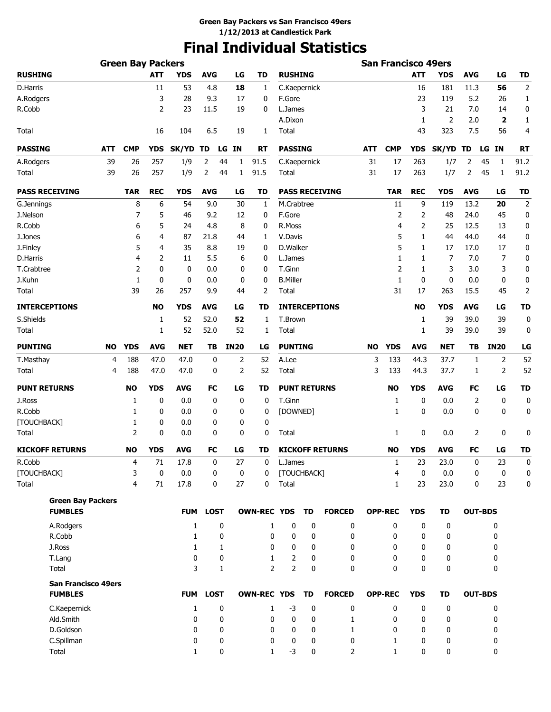# **Final Individual Statistics**

|                                              |     |                |             |              |             | <b>San Francisco 49ers</b> |                    |                     |    |                        |           |                |              |            |                |                         |                |
|----------------------------------------------|-----|----------------|-------------|--------------|-------------|----------------------------|--------------------|---------------------|----|------------------------|-----------|----------------|--------------|------------|----------------|-------------------------|----------------|
| <b>RUSHING</b>                               |     |                | <b>ATT</b>  | <b>YDS</b>   | <b>AVG</b>  | LG                         | TD                 | <b>RUSHING</b>      |    |                        |           |                | <b>ATT</b>   | <b>YDS</b> | <b>AVG</b>     | LG                      | <b>TD</b>      |
| D.Harris                                     |     |                | 11          | 53           | 4.8         | 18                         | $\mathbf{1}$       | C.Kaepernick        |    |                        |           |                | 16           | 181        | 11.3           | 56                      | $\mathbf 2$    |
| A.Rodgers                                    |     |                | 3           | 28           | 9.3         | 17                         | 0                  | F.Gore              |    |                        |           |                | 23           | 119        | 5.2            | 26                      | $\mathbf{1}$   |
| R.Cobb                                       |     |                | 2           | 23           | 11.5        | 19                         | 0                  | L.James             |    |                        |           |                | 3            | 21         | 7.0            | 14                      | 0              |
|                                              |     |                |             |              |             |                            |                    | A.Dixon             |    |                        |           |                | $\mathbf{1}$ | 2          | 2.0            | $\overline{\mathbf{2}}$ | 1              |
| Total                                        |     |                | 16          | 104          | 6.5         | 19                         | 1                  | Total               |    |                        |           |                | 43           | 323        | 7.5            | 56                      | 4              |
| <b>PASSING</b>                               | ATT | <b>CMP</b>     | <b>YDS</b>  | <b>SK/YD</b> | TD          | LG IN                      | RT                 | <b>PASSING</b>      |    |                        | ATT       | <b>CMP</b>     | <b>YDS</b>   | SK/YD TD   |                | ΙN<br>LG                | RT             |
| A.Rodgers                                    | 39  | 26             | 257         | 1/9          | 2           | 44<br>1                    | 91.5               | C.Kaepernick        |    |                        | 31        | 17             | 263          | 1/7        | 2              | 45<br>1                 | 91.2           |
| Total                                        | 39  | 26             | 257         | 1/9          | 2           | 44<br>1                    | 91.5               | <b>Total</b>        |    |                        | 31        | 17             | 263          | 1/7        | 2              | 45<br>1                 | 91.2           |
| <b>PASS RECEIVING</b>                        |     | <b>TAR</b>     | <b>REC</b>  | <b>YDS</b>   | <b>AVG</b>  | LG                         | TD                 |                     |    | <b>PASS RECEIVING</b>  |           | <b>TAR</b>     | <b>REC</b>   | <b>YDS</b> | <b>AVG</b>     | LG                      | <b>TD</b>      |
| G.Jennings                                   |     | 8              | 6           | 54           | 9.0         | 30                         | 1                  | M.Crabtree          |    |                        |           | 11             | 9            | 119        | 13.2           | 20                      | $\overline{2}$ |
| J.Nelson                                     |     | 7              | 5           | 46           | 9.2         | 12                         | 0                  | F.Gore              |    |                        |           | 2              | 2            | 48         | 24.0           | 45                      | 0              |
| R.Cobb                                       |     | 6              | 5           | 24           | 4.8         | 8                          | 0                  | R.Moss              |    |                        |           | 4              | 2            | 25         | 12.5           | 13                      | 0              |
| J.Jones                                      |     | 6              | 4           | 87           | 21.8        | 44                         | 1                  | V.Davis             |    |                        |           | 5              | 1            | 44         | 44.0           | 44                      | 0              |
| J.Finley                                     |     | 5              | 4           | 35           | 8.8         | 19                         | 0                  | D.Walker            |    |                        |           | 5              | 1            | 17         | 17.0           | 17                      | 0              |
| D.Harris                                     |     | 4              | 2           | 11           | 5.5         | 6                          | 0                  | L.James             |    |                        |           | 1              | 1            | 7          | 7.0            | 7                       | 0              |
| T.Crabtree                                   |     | 2              | 0           | 0            | 0.0         | 0                          | 0                  | T.Ginn              |    |                        |           | $\overline{2}$ | 1            | 3          | 3.0            | 3                       | 0              |
| J.Kuhn                                       |     | 1              | 0           | 0            | 0.0         | 0                          | 0                  | <b>B.Miller</b>     |    |                        |           | 1              | 0            | 0          | 0.0            | 0                       | 0              |
| Total                                        |     | 39             | 26          | 257          | 9.9         | 44                         | 2                  | Total               |    |                        |           | 31             | 17           | 263        | 15.5           | 45                      | $\overline{2}$ |
| <b>INTERCEPTIONS</b>                         |     |                | <b>NO</b>   | <b>YDS</b>   | <b>AVG</b>  | LG                         | TD                 |                     |    | <b>INTERCEPTIONS</b>   |           |                | NO           | YDS        | <b>AVG</b>     | LG                      | <b>TD</b>      |
| S.Shields                                    |     |                | 1           | 52           | 52.0        | 52                         | 1                  | T.Brown             |    |                        |           |                | 1            | 39         | 39.0           | 39                      | 0              |
| Total                                        |     |                | 1           | 52           | 52.0        | 52                         | 1                  | Total               |    |                        |           |                | 1            | 39         | 39.0           | 39                      | 0              |
| <b>PUNTING</b>                               | NO  | <b>YDS</b>     | <b>AVG</b>  | <b>NET</b>   | TВ          | <b>IN20</b>                | LG                 | <b>PUNTING</b>      |    |                        | <b>NO</b> | <b>YDS</b>     | <b>AVG</b>   | NET        | TB             | <b>IN20</b>             | LG             |
| T.Masthay                                    | 4   | 188            | 47.0        | 47.0         | 0           | 2                          | 52                 | A.Lee               |    |                        | 3         | 133            | 44.3         | 37.7       | 1              | 2                       | 52             |
| Total                                        | 4   | 188            | 47.0        | 47.0         | 0           | 2                          | 52                 | Total               |    |                        | 3         | 133            | 44.3         | 37.7       | 1              | 2                       | 52             |
| <b>PUNT RETURNS</b>                          |     | <b>NO</b>      | <b>YDS</b>  | <b>AVG</b>   | FC          | LG                         | TD                 | <b>PUNT RETURNS</b> |    |                        |           | <b>NO</b>      | <b>YDS</b>   | <b>AVG</b> | FC             | LG                      | <b>TD</b>      |
| J.Ross                                       |     | 1              | 0           | 0.0          | 0           | 0                          | 0                  | T.Ginn              |    |                        |           | 1              | 0            | 0.0        | 2              | 0                       | 0              |
| R.Cobb                                       |     | 1              | 0           | 0.0          | 0           | 0                          | 0                  | [DOWNED]            |    |                        |           | 1              | 0            | 0.0        | 0              | $\mathbf 0$             | 0              |
| [TOUCHBACK]                                  |     | 1              | 0           | 0.0          | 0           | 0                          | 0                  |                     |    |                        |           |                |              |            |                |                         |                |
| Total                                        |     | 2              | 0           | 0.0          | 0           | 0                          | 0                  | Total               |    |                        |           | 1              | 0            | 0.0        | 2              | 0                       | 0              |
| <b>KICKOFF RETURNS</b>                       |     | <b>NO</b>      | <b>YDS</b>  | <b>AVG</b>   | FC          | LG                         | TD                 |                     |    | <b>KICKOFF RETURNS</b> |           | <b>NO</b>      | <b>YDS</b>   | AVG        | FC             | LG                      | <b>TD</b>      |
| R.Cobb                                       |     | 4              | $71\,$      | 17.8         | 0           | 27                         | $\boldsymbol{0}$   | L.James             |    |                        |           | $\mathbf{1}$   | 23           | 23.0       | 0              | 23                      | $\mathbf 0$    |
| [TOUCHBACK]                                  |     | 3              | $\mathbf 0$ | 0.0          | 0           | 0                          | 0                  | [TOUCHBACK]         |    |                        |           | 4              | 0            | 0.0        | 0              | 0                       | 0              |
| Total                                        |     | $\overline{4}$ | 71          | 17.8         | 0           | 27                         | 0                  | Total               |    |                        |           | $\mathbf{1}$   | 23           | 23.0       | 0              | 23                      | 0              |
| <b>Green Bay Packers</b>                     |     |                |             |              |             |                            |                    |                     |    |                        |           |                |              |            |                |                         |                |
| <b>FUMBLES</b>                               |     |                |             | <b>FUM</b>   | <b>LOST</b> |                            | <b>OWN-REC YDS</b> |                     | TD | <b>FORCED</b>          |           | <b>OPP-REC</b> | <b>YDS</b>   | TD         | <b>OUT-BDS</b> |                         |                |
| A.Rodgers                                    |     |                |             | $\mathbf{1}$ |             | 0                          | 1                  | 0                   | 0  | 0                      |           | 0              | 0            | 0          |                | 0                       |                |
| R.Cobb                                       |     |                |             | 1            |             | 0                          | 0                  | 0                   | 0  | 0                      |           | 0              | 0            | 0          |                | 0                       |                |
| J.Ross                                       |     |                |             | 1            |             | 1                          | 0                  | 0                   | 0  | 0                      |           | 0              | 0            | 0          |                | 0                       |                |
| T.Lang                                       |     |                |             | 0<br>3       |             | 0                          | 1                  | 2                   | 0  | 0                      |           | 0              | 0            | 0          |                | 0                       |                |
| Total                                        |     |                |             |              |             | 1                          | $\overline{2}$     | $\overline{2}$      | 0  | $\mathbf{0}$           |           | $\mathbf{0}$   | 0            | 0          |                | 0                       |                |
| <b>San Francisco 49ers</b><br><b>FUMBLES</b> |     |                |             |              | FUM LOST    |                            | <b>OWN-REC YDS</b> |                     | TD | <b>FORCED</b>          |           | <b>OPP-REC</b> | <b>YDS</b>   | TD         | <b>OUT-BDS</b> |                         |                |
| C.Kaepernick                                 |     |                |             | 1            |             | 0                          | $\mathbf{1}$       | $-3$                | 0  | 0                      |           | 0              | 0            | 0          |                | 0                       |                |
| Ald.Smith                                    |     |                |             | 0            |             | 0                          | 0                  | 0                   | 0  | 1                      |           | 0              | 0            | 0          |                | 0                       |                |
| D.Goldson                                    |     |                |             | 0            |             | 0                          | 0                  | 0                   | 0  | 1                      |           | 0              | 0            | 0          |                | 0                       |                |
| C.Spillman                                   |     |                |             | 0            |             | 0                          | 0                  | 0                   | 0  | 0                      |           | $\mathbf{1}$   | 0            | 0          |                | 0                       |                |
| Total                                        |     |                |             | 1            |             | 0                          | $\mathbf{1}$       | $-3$                | 0  | 2                      |           | $\mathbf{1}$   | 0            | 0          |                | 0                       |                |
|                                              |     |                |             |              |             |                            |                    |                     |    |                        |           |                |              |            |                |                         |                |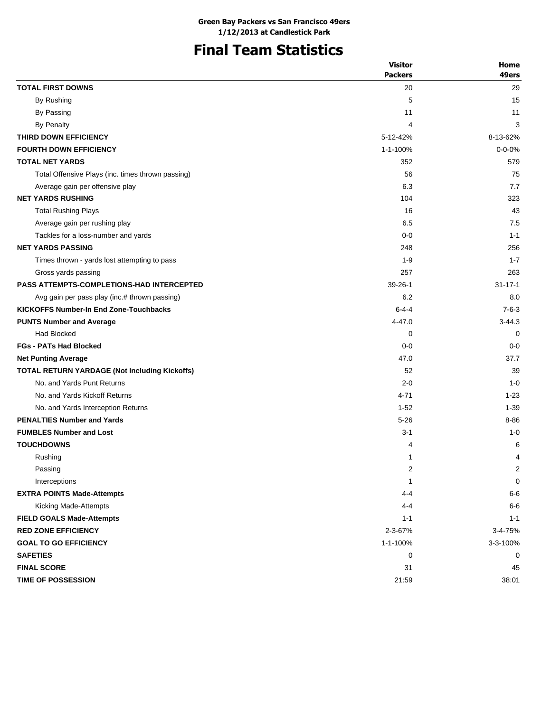# **Final Team Statistics**

|                                                   | <b>Visitor</b> | Home          |
|---------------------------------------------------|----------------|---------------|
|                                                   | <b>Packers</b> | 49ers         |
| <b>TOTAL FIRST DOWNS</b>                          | 20             | 29            |
| By Rushing                                        | 5              | 15            |
| By Passing                                        | 11             | 11            |
| By Penalty                                        | 4              | 3             |
| THIRD DOWN EFFICIENCY                             | 5-12-42%       | 8-13-62%      |
| <b>FOURTH DOWN EFFICIENCY</b>                     | 1-1-100%       | $0 - 0 - 0%$  |
| <b>TOTAL NET YARDS</b>                            | 352            | 579           |
| Total Offensive Plays (inc. times thrown passing) | 56             | 75            |
| Average gain per offensive play                   | 6.3            | 7.7           |
| <b>NET YARDS RUSHING</b>                          | 104            | 323           |
| <b>Total Rushing Plays</b>                        | 16             | 43            |
| Average gain per rushing play                     | 6.5            | 7.5           |
| Tackles for a loss-number and yards               | $0 - 0$        | $1 - 1$       |
| <b>NET YARDS PASSING</b>                          | 248            | 256           |
| Times thrown - yards lost attempting to pass      | $1 - 9$        | $1 - 7$       |
| Gross yards passing                               | 257            | 263           |
| <b>PASS ATTEMPTS-COMPLETIONS-HAD INTERCEPTED</b>  | $39 - 26 - 1$  | $31 - 17 - 1$ |
| Avg gain per pass play (inc.# thrown passing)     | 6.2            | 8.0           |
| <b>KICKOFFS Number-In End Zone-Touchbacks</b>     | $6 - 4 - 4$    | $7 - 6 - 3$   |
| <b>PUNTS Number and Average</b>                   | 4-47.0         | $3 - 44.3$    |
| <b>Had Blocked</b>                                | 0              | 0             |
| <b>FGs - PATs Had Blocked</b>                     | $0 - 0$        | $0 - 0$       |
| <b>Net Punting Average</b>                        | 47.0           | 37.7          |
| TOTAL RETURN YARDAGE (Not Including Kickoffs)     | 52             | 39            |
| No. and Yards Punt Returns                        | $2 - 0$        | $1 - 0$       |
| No. and Yards Kickoff Returns                     | 4-71           | $1 - 23$      |
| No. and Yards Interception Returns                | $1 - 52$       | $1 - 39$      |
| <b>PENALTIES Number and Yards</b>                 | $5 - 26$       | $8 - 86$      |
| <b>FUMBLES Number and Lost</b>                    | $3 - 1$        | $1 - 0$       |
| <b>TOUCHDOWNS</b>                                 | 4              | 6             |
| Rushing                                           | 1              | 4             |
| Passing                                           | 2              | 2             |
| Interceptions                                     | 1              | 0             |
| <b>EXTRA POINTS Made-Attempts</b>                 | $4 - 4$        | $6-6$         |
| Kicking Made-Attempts                             | 4-4            | $6-6$         |
| <b>FIELD GOALS Made-Attempts</b>                  | $1 - 1$        | $1 - 1$       |
| <b>RED ZONE EFFICIENCY</b>                        | 2-3-67%        | 3-4-75%       |
| <b>GOAL TO GO EFFICIENCY</b>                      | 1-1-100%       | 3-3-100%      |
| <b>SAFETIES</b>                                   | 0              | 0             |
| <b>FINAL SCORE</b>                                | 31             | 45            |
| TIME OF POSSESSION                                | 21:59          | 38:01         |
|                                                   |                |               |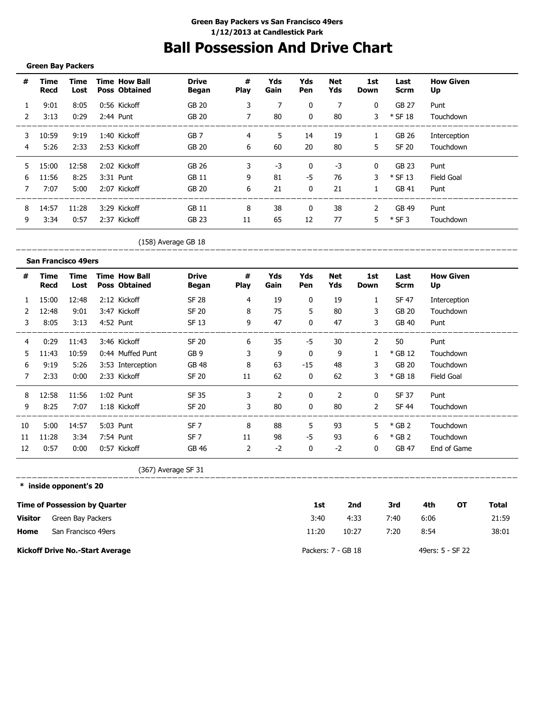# **Ball Possession And Drive Chart**

#### **Green Bay Packers**

\_\_\_\_\_\_\_\_\_\_\_\_\_\_\_\_\_\_\_\_

| #             | Time<br>Recd | Time<br>Lost | <b>Time How Ball</b><br><b>Poss Obtained</b> | <b>Drive</b><br>Began | #<br><b>Play</b> | Yds<br>Gain | Yds<br>Pen   | Net<br>Yds | 1st<br><b>Down</b> | Last<br><b>Scrm</b> | <b>How Given</b><br>Up |
|---------------|--------------|--------------|----------------------------------------------|-----------------------|------------------|-------------|--------------|------------|--------------------|---------------------|------------------------|
|               | 9:01         | 8:05         | 0:56 Kickoff                                 | GB 20                 | 3                |             | $\mathbf{0}$ | 7          | 0                  | GB 27               | Punt                   |
| $\mathcal{P}$ | 3:13         | 0:29         | 2:44 Punt                                    | GB 20                 |                  | 80          | 0            | 80         | 3                  | $*$ SF 18           | Touchdown              |
| 3             | 10:59        | 9:19         | 1:40 Kickoff                                 | GB <sub>7</sub>       | 4                | 5.          | 14           | 19         | 1                  | GB 26               | Interception           |
| 4             | 5:26         | 2:33         | 2:53 Kickoff                                 | GB 20                 | 6                | 60          | 20           | 80         | 5.                 | SF 20               | Touchdown              |
| 5.            | 15:00        | 12:58        | 2:02 Kickoff                                 | GB 26                 | 3                | $-3$        | $\mathbf{0}$ | $-3$       | $\mathbf{0}$       | GB 23               | Punt                   |
| 6             | 11:56        | 8:25         | 3:31 Punt                                    | GB 11                 | 9                | 81          | -5           | 76         | 3                  | $*$ SF 13           | Field Goal             |
|               | 7:07         | 5:00         | 2:07 Kickoff                                 | GB 20                 | 6                | 21          | $\mathbf{0}$ | 21         | 1.                 | GB 41               | Punt                   |
| 8             | 14:57        | 11:28        | 3:29 Kickoff                                 | <b>GB 11</b>          | 8                | 38          | $\mathbf{0}$ | 38         | 2                  | GB 49               | Punt                   |
| 9             | 3:34         | 0:57         | 2:37 Kickoff                                 | <b>GB 23</b>          | 11               | 65          | 12           | 77         | 5.                 | $*$ SF 3            | Touchdown              |

\_\_\_\_\_\_\_\_\_\_\_\_\_\_

(158) Average GB 18

|                | <b>San Francisco 49ers</b> |              |                                              |                       |                  |             |              |                |              |                     |                        |
|----------------|----------------------------|--------------|----------------------------------------------|-----------------------|------------------|-------------|--------------|----------------|--------------|---------------------|------------------------|
| #              | Time<br>Recd               | Time<br>Lost | <b>Time How Ball</b><br><b>Poss Obtained</b> | <b>Drive</b><br>Began | #<br><b>Play</b> | Yds<br>Gain | Yds<br>Pen   | Net<br>Yds     | 1st<br>Down  | Last<br><b>Scrm</b> | <b>How Given</b><br>Up |
| 1              | 15:00                      | 12:48        | 2:12 Kickoff                                 | <b>SF 28</b>          | $\overline{4}$   | 19          | 0            | 19             | $\mathbf{1}$ | SF 47               | Interception           |
| $\overline{2}$ | 12:48                      | 9:01         | 3:47 Kickoff                                 | <b>SF 20</b>          | 8                | 75          | 5            | 80             | 3            | GB 20               | Touchdown              |
| 3              | 8:05                       | 3:13         | 4:52 Punt                                    | SF 13                 | 9                | 47          | $\mathbf{0}$ | 47             | 3            | GB 40               | Punt                   |
| 4              | 0:29                       | 11:43        | 3:46 Kickoff                                 | <b>SF 20</b>          | 6                | 35          | -5           | 30             | 2            | 50                  | Punt                   |
| 5.             | 11:43                      | 10:59        | 0:44 Muffed Punt                             | GB <sub>9</sub>       | 3                | 9           | $\mathbf{0}$ | 9              |              | $*$ GB 12           | Touchdown              |
| 6              | 9:19                       | 5:26         | 3:53 Interception                            | <b>GB 48</b>          | 8                | 63          | $-15$        | 48             | 3            | GB 20               | Touchdown              |
| 7              | 2:33                       | 0:00         | 2:33 Kickoff                                 | <b>SF 20</b>          | 11               | 62          | $\mathbf{0}$ | 62             | 3            | $*$ GB 18           | Field Goal             |
| 8              | 12:58                      | 11:56        | 1:02 Punt                                    | SF 35                 | 3                | 2           | 0            | $\overline{2}$ | $\mathbf 0$  | SF 37               | Punt                   |
| 9              | 8:25                       | 7:07         | 1:18 Kickoff                                 | <b>SF 20</b>          | 3                | 80          | $\mathbf{0}$ | 80             | 2            | <b>SF 44</b>        | Touchdown              |
| 10             | 5:00                       | 14:57        | 5:03 Punt                                    | SF <sub>7</sub>       | 8                | 88          | 5            | 93             | 5.           | $*$ GB 2            | Touchdown              |
| 11             | 11:28                      | 3:34         | 7:54 Punt                                    | SF <sub>7</sub>       | 11               | 98          | $-5$         | 93             | 6            | $*$ GB 2            | Touchdown              |
| 12             | 0:57                       | 0:00         | 0:57 Kickoff                                 | GB 46                 | 2                | $-2$        | 0            | $-2$           | $\mathbf{0}$ | GB 47               | End of Game            |

(367) Average SF 31

**\* inside opponent's 20**

\_\_\_\_\_\_\_\_\_\_\_\_\_\_\_\_\_\_\_\_

|                | Time of Possession by Quarter          | 1st                | 2nd   | 3rd  | 4th              | OТ | Total |
|----------------|----------------------------------------|--------------------|-------|------|------------------|----|-------|
| <b>Visitor</b> | Green Bay Packers                      | 3:40               | 4:33  | 7:40 | 6:06             |    | 21:59 |
| Home           | San Francisco 49ers                    | 11:20              | 10:27 | 7:20 | 8:54             |    | 38:01 |
|                | <b>Kickoff Drive No.-Start Average</b> | Packers: 7 - GB 18 |       |      | 49ers: 5 - SF 22 |    |       |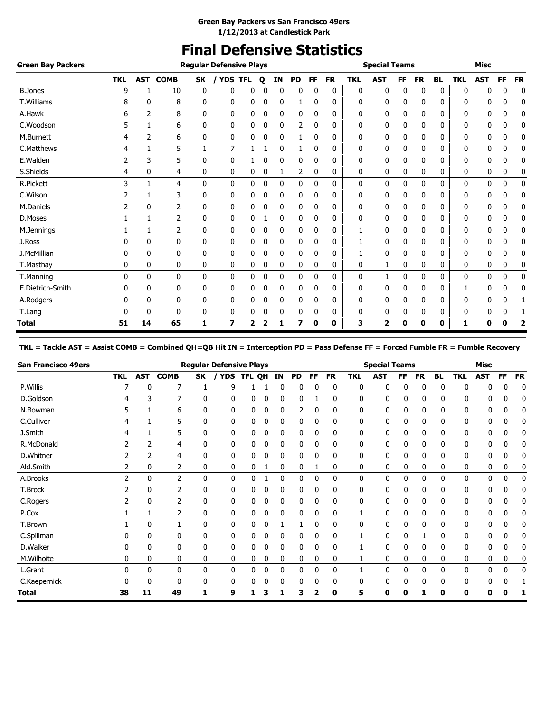# **Final Defensive Statistics**

| <b>Green Bay Packers</b> |            |              |                |              | <b>Regular Defensive Plays</b> |            |             |              |           |              |           |            | <b>Special Teams</b>    |    |           |              |            | <b>Misc</b>  |    |           |
|--------------------------|------------|--------------|----------------|--------------|--------------------------------|------------|-------------|--------------|-----------|--------------|-----------|------------|-------------------------|----|-----------|--------------|------------|--------------|----|-----------|
|                          | <b>TKL</b> | <b>AST</b>   | <b>COMB</b>    | <b>SK</b>    | / YDS                          | <b>TFL</b> | $\mathbf o$ | ΙN           | <b>PD</b> | FF           | <b>FR</b> | <b>TKL</b> | <b>AST</b>              | FF | <b>FR</b> | <b>BL</b>    | <b>TKL</b> | <b>AST</b>   | FF | <b>FR</b> |
| <b>B.Jones</b>           | 9          |              | 10             | 0            | 0                              | 0          |             | $\Omega$     | 0         | $\Omega$     | 0         | 0          | 0                       | 0  | 0         | $\mathbf{0}$ | 0          | 0            | 0  | 0         |
| <b>T.Williams</b>        |            | 0            | 8              | 0            | 0                              | 0          | 0           | 0            | 1         | 0            | 0         | 0          | 0                       | 0  | 0         | 0            | 0          | 0            | 0  | 0         |
| A.Hawk                   | 6          | 2            | 8              | 0            | 0                              | 0          | 0           | 0            | 0         | 0            | 0         | 0          | 0                       | 0  | 0         | 0            | 0          | 0            | 0  | 0         |
| C.Woodson                | 5          | 1            | 6              | 0            | 0                              | 0          | 0           | 0            | 2         | 0            | 0         | 0          | 0                       | 0  | 0         | 0            | 0          | 0            | 0  | 0         |
| M.Burnett                | 4          | 2            | 6              | $\mathbf{0}$ | 0                              | 0          | 0           | 0            | 1         | $\mathbf{0}$ | 0         | 0          | 0                       | 0  | 0         | 0            | 0          | 0            | 0  | 0         |
| C.Matthews               |            |              | 5              | 1            | 7                              |            |             | 0            | 1         | $\mathbf{0}$ | 0         | 0          | 0                       | 0  | 0         | 0            | 0          | 0            | 0  | 0         |
| E.Walden                 |            | 3            | 5              | 0            | 0                              |            | ۵           | 0            | 0         | $\mathbf{0}$ | 0         | 0          | 0                       | 0  | 0         | 0            | 0          | 0            | 0  | 0         |
| S.Shields                | 4          | 0            | 4              | 0            | 0                              | 0          | 0           | 1            | 2         | 0            | 0         | 0          | 0                       | 0  | 0         | 0            | 0          | 0            | 0  | 0         |
| <b>R.Pickett</b>         | 3          |              | 4              | $\mathbf{0}$ | $\mathbf{0}$                   | 0          | 0           | $\mathbf{0}$ | 0         | 0            | 0         | 0          | 0                       | 0  | 0         | 0            | 0          | $\mathbf{0}$ | 0  | 0         |
| C.Wilson                 |            |              | 3              | 0            | 0                              | 0          | 0           | 0            | 0         | 0            | 0         | 0          | 0                       | 0  | 0         | 0            | 0          | 0            | 0  | 0         |
| M.Daniels                |            | $\mathbf{0}$ | 2              | 0            | 0                              | 0          | 0           | 0            | 0         | 0            | 0         | 0          | 0                       | 0  | 0         | 0            | 0          | 0            | 0  | 0         |
| D.Moses                  |            | 1            | 2              | 0            | 0                              | 0          |             | 0            | 0         | 0            | 0         | 0          | 0                       | 0  | 0         | 0            | 0          | 0            | 0  | 0         |
| M.Jennings               |            | 1            | $\overline{2}$ | 0            | 0                              | 0          | 0           | 0            | 0         | 0            | 0         | 1          | 0                       | 0  | 0         | 0            | 0          | 0            | 0  | 0         |
| J.Ross                   |            | 0            | 0              | 0            | 0                              | 0          | 0           | 0            | 0         | $\mathbf{0}$ | 0         |            | 0                       | 0  | 0         | 0            | 0          | 0            | 0  | 0         |
| J.McMillian              |            | $\Omega$     | 0              | 0            | 0                              | 0          | 0           | 0            | 0         | 0            | 0         |            | 0                       | 0  | 0         | 0            | 0          | 0            | 0  | 0         |
| T.Masthay                | 0          | 0            | 0              | 0            | 0                              | 0          | 0           | 0            | 0         | 0            | 0         | 0          | 1                       | 0  | 0         | 0            | 0          | 0            | 0  | 0         |
| T.Manning                | 0          | $\mathbf{0}$ | 0              | $\mathbf{0}$ | 0                              | 0          | 0           | 0            | 0         | 0            | 0         | 0          | 1                       | 0  | 0         | 0            | 0          | 0            | 0  | 0         |
| E.Dietrich-Smith         | 0          | 0            | 0              | 0            | 0                              | 0          | 0           | 0            | 0         | $\mathbf{0}$ | 0         | 0          | 0                       | 0  | 0         | 0            |            | 0            | 0  | 0         |
| A.Rodgers                |            | 0            | 0              | 0            | 0                              | 0          |             | 0            | 0         | 0            | 0         | 0          | 0                       | 0  | 0         | 0            | 0          | 0            | 0  |           |
| T.Lang                   | 0          | 0            | 0              | 0            | 0                              | 0          | 0           | 0            | 0         | 0            | 0         | 0          | 0                       | 0  | 0         | 0            | 0          | 0            | 0  |           |
| <b>Total</b>             | 51         | 14           | 65             | 1            | 7                              | 2          | 2           | 1            | 7         | 0            | 0         | 3          | $\overline{\mathbf{2}}$ | 0  | 0         | 0            | 1          | 0            | 0  | 2         |

#### **TKL = Tackle AST = Assist COMB = Combined QH=QB Hit IN = Interception PD = Pass Defense FF = Forced Fumble FR = Fumble Recovery**

| <b>San Francisco 49ers</b> |              |            |              |           | <b>Regular Defensive Plays</b> |        |             |    |           |              |           |            | <b>Special Teams</b> |     |              |           |            | Misc       |    |           |
|----------------------------|--------------|------------|--------------|-----------|--------------------------------|--------|-------------|----|-----------|--------------|-----------|------------|----------------------|-----|--------------|-----------|------------|------------|----|-----------|
|                            | <b>TKL</b>   | <b>AST</b> | <b>COMB</b>  | <b>SK</b> | <b>YDS</b>                     | TFL OH |             | ΙN | <b>PD</b> | FF           | <b>FR</b> | <b>TKL</b> | AST                  | FF. | <b>FR</b>    | <b>BL</b> | <b>TKL</b> | <b>AST</b> | FF | <b>FR</b> |
| P.Willis                   |              |            | 7            |           | 9                              |        |             |    | 0         | 0            | 0         | 0          | 0                    | 0   | 0            | 0         |            |            | 0  | 0         |
| D.Goldson                  |              |            | 7            | 0         | 0                              | 0      | 0           | 0  | 0         |              | 0         | 0          | 0                    | 0   | 0            | 0         | ŋ          |            | 0  | 0         |
| N.Bowman                   | 5            |            | 6            | 0         | 0                              | 0      | 0           | 0  | 2         | 0            | 0         | 0          | 0                    | 0   | 0            | 0         | O          |            | 0  | 0         |
| C.Culliver                 | 4            |            | 5            | 0         | 0                              | 0      | 0           | 0  | 0         | 0            | 0         | 0          | 0                    | 0   | 0            | 0         | 0          | 0          | 0  |           |
| J.Smith                    | 4            |            | 5            | 0         | $\mathbf{0}$                   | 0      | $\mathbf 0$ | 0  | 0         | $\mathbf{0}$ | 0         | 0          | 0                    | 0   | $\mathbf{0}$ | 0         | 0          | 0          | 0  | 0         |
| R.McDonald                 |              | 2          | 4            | 0         | 0                              | 0      | 0           | 0  | 0         | 0            | 0         | 0          | 0                    | 0   | 0            | 0         | 0          | 0          | 0  | 0         |
| D.Whitner                  |              | 2          | 4            | 0         | 0                              | 0      | 0           | 0  | 0         | 0            | 0         | 0          | 0                    | 0   | 0            | 0         | 0          | 0          | 0  | 0         |
| Ald.Smith                  |              | 0          | 2            | 0         | 0                              | 0      |             | 0  | 0         |              | 0         | 0          | 0                    | 0   | 0            | 0         | 0          | 0          | 0  | 0         |
| A.Brooks                   | 2            | 0          | 2            | 0         | 0                              | 0      |             | 0  | 0         | 0            | 0         | 0          | 0                    | 0   | 0            | 0         | 0          | 0          | 0  | 0         |
| T.Brock                    |              | 0          | 2            | 0         | 0                              |        | 0           | 0  | 0         | 0            | 0         | 0          | 0                    | 0   | 0            | 0         | 0          | 0          | 0  | 0         |
| C.Rogers                   |              | 0          | 2            | 0         | 0                              | 0      | 0           | 0  | 0         | 0            | 0         | 0          | 0                    | 0   | 0            | 0         | 0          | 0          | 0  | 0         |
| P.Cox                      |              |            | 2            | 0         | 0                              | 0      | 0           | 0  | 0         | 0            | 0         |            | 0                    | 0   | 0            | 0         | 0          | 0          | 0  |           |
| T.Brown                    |              | 0          |              | 0         | $\mathbf{0}$                   | 0      | 0           |    |           | 0            | 0         | 0          | 0                    | 0   | 0            | 0         | 0          | 0          | 0  | 0         |
| C.Spillman                 |              | 0          | 0            | 0         | 0                              | 0      | 0           | 0  | 0         | 0            | 0         |            | 0                    | 0   |              | 0         | 0          | 0          | 0  | 0         |
| D.Walker                   | o            | 0          | 0            | 0         | 0                              | 0      | 0           | 0  | 0         | 0            | 0         |            | 0                    | 0   | 0            | 0         | 0          | 0          | 0  | 0         |
| M.Wilhoite                 | 0            | 0          | 0            | 0         | 0                              | 0      | 0           | 0  | 0         | 0            | 0         |            | 0                    | 0   | 0            | 0         | 0          | 0          | 0  | 0         |
| L.Grant                    | <sup>0</sup> | 0          | 0            | 0         | 0                              | 0      | 0           | 0  | 0         | 0            | 0         |            | 0                    | 0   | 0            | 0         | 0          | 0          | 0  | 0         |
| C.Kaepernick               | 0            | 0          | $\mathbf{0}$ | 0         | 0                              | 0      | 0           | 0  | 0         | 0            | 0         | 0          | 0                    | 0   | 0            | 0         | 0          | 0          | 0  |           |
| Total                      | 38           | 11         | 49           | 1         | 9                              | 1      |             | ٠  | 3         | 2            | 0         | 5          | 0                    | 0   |              | 0         | 0          |            |    |           |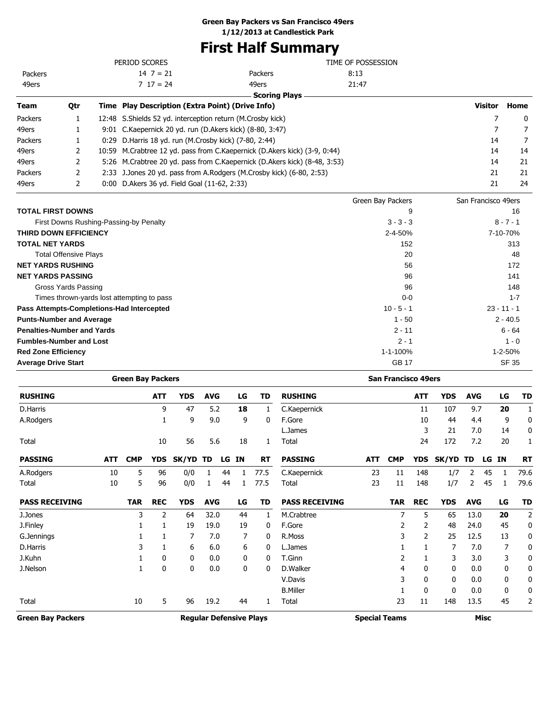# **First Half Summary**

|         |     | PERIOD SCORES                                                |                                                                           | TIME OF POSSESSION |                     |      |
|---------|-----|--------------------------------------------------------------|---------------------------------------------------------------------------|--------------------|---------------------|------|
| Packers |     | $14 \ 7 = 21$                                                | Packers                                                                   | 8:13               |                     |      |
| 49ers   |     | $7 \t17 = 24$                                                | 49ers                                                                     | 21:47              |                     |      |
|         |     |                                                              | <b>Scoring Plays</b>                                                      |                    |                     |      |
| Team    | Qtr | Time Play Description (Extra Point) (Drive Info)             |                                                                           |                    | <b>Visitor</b>      | Home |
| Packers | 1   | 12:48 S. Shields 52 yd. interception return (M. Crosby kick) |                                                                           |                    |                     | 0    |
| 49ers   |     | 9:01 C.Kaepernick 20 yd. run (D.Akers kick) (8-80, 3:47)     |                                                                           |                    |                     |      |
| Packers |     | 0:29 D. Harris 18 yd. run (M. Crosby kick) (7-80, 2:44)      |                                                                           |                    | 14                  | 7    |
| 49ers   | 2   |                                                              | 10:59 M.Crabtree 12 yd. pass from C.Kaepernick (D.Akers kick) (3-9, 0:44) |                    | 14                  | 14   |
| 49ers   |     |                                                              | 5:26 M.Crabtree 20 yd. pass from C.Kaepernick (D.Akers kick) (8-48, 3:53) |                    | 14                  | 21   |
| Packers | 2   |                                                              | 2:33 J.Jones 20 yd. pass from A.Rodgers (M.Crosby kick) (6-80, 2:53)      |                    | 21                  | 21   |
| 49ers   | 2   | 0:00 D. Akers 36 yd. Field Goal (11-62, 2:33)                |                                                                           |                    | 21                  | 24   |
|         |     |                                                              |                                                                           | Green Bay Packers  | San Francisco 49ers |      |

|                                            | Green Bay Packers | San Francisco 49ers |
|--------------------------------------------|-------------------|---------------------|
| <b>TOTAL FIRST DOWNS</b>                   | 9                 | 16                  |
| First Downs Rushing-Passing-by Penalty     | $3 - 3 - 3$       | $8 - 7 - 1$         |
| <b>THIRD DOWN EFFICIENCY</b>               | 2-4-50%           | 7-10-70%            |
| <b>TOTAL NET YARDS</b>                     | 152               | 313                 |
| <b>Total Offensive Plays</b>               | 20                | 48                  |
| <b>NET YARDS RUSHING</b>                   | 56                | 172                 |
| <b>NET YARDS PASSING</b>                   | 96                | 141                 |
| Gross Yards Passing                        | 96                | 148                 |
| Times thrown-yards lost attempting to pass | $0-0$             | $1 - 7$             |
| Pass Attempts-Completions-Had Intercepted  | $10 - 5 - 1$      | $23 - 11 - 1$       |
| <b>Punts-Number and Average</b>            | $1 - 50$          | $2 - 40.5$          |
| <b>Penalties-Number and Yards</b>          | $2 - 11$          | $6 - 64$            |
| <b>Fumbles-Number and Lost</b>             | $2 - 1$           | $1 - 0$             |
| <b>Red Zone Efficiency</b>                 | 1-1-100%          | 1-2-50%             |
| <b>Average Drive Start</b>                 | <b>GB 17</b>      | <b>SF 35</b>        |

|                          |            | <b>Green Bay Packers</b> |            |            |            |    |    |                                |                       |                      | <b>San Francisco 49ers</b> |              |            |                |             |    |           |
|--------------------------|------------|--------------------------|------------|------------|------------|----|----|--------------------------------|-----------------------|----------------------|----------------------------|--------------|------------|----------------|-------------|----|-----------|
| <b>RUSHING</b>           |            |                          | <b>ATT</b> | <b>YDS</b> | <b>AVG</b> |    | LG | TD                             | <b>RUSHING</b>        |                      |                            | <b>ATT</b>   | <b>YDS</b> | <b>AVG</b>     |             | LG | <b>TD</b> |
| D.Harris                 |            |                          | 9          | 47         | 5.2        |    | 18 | 1                              | C.Kaepernick          |                      |                            | 11           | 107        | 9.7            |             | 20 | 1         |
| A.Rodgers                |            |                          | 1          | 9          | 9.0        |    | 9  | 0                              | F.Gore                |                      |                            | 10           | 44         | 4.4            |             | 9  | 0         |
|                          |            |                          |            |            |            |    |    |                                | L.James               |                      |                            | 3            | 21         | 7.0            |             | 14 | 0         |
| Total                    |            |                          | 10         | 56         | 5.6        |    | 18 | 1                              | Total                 |                      |                            | 24           | 172        | 7.2            |             | 20 |           |
| <b>PASSING</b>           | <b>ATT</b> | <b>CMP</b>               | <b>YDS</b> | SK/YD      | TD         | LG | IN | <b>RT</b>                      | <b>PASSING</b>        | <b>ATT</b>           | <b>CMP</b>                 | <b>YDS</b>   | SK/YD      | TD             | LG          | IN | <b>RT</b> |
| A.Rodgers                | 10         | 5                        | 96         | 0/0        |            | 44 |    | 77.5                           | C.Kaepernick          | 23                   | 11                         | 148          | 1/7        | 2              | 45          | 1  | 79.6      |
| Total                    | 10         | 5                        | 96         | 0/0        | 1          | 44 | 1  | 77.5                           | Total                 | 23                   | 11                         | 148          | 1/7        | $\overline{2}$ | 45          | 1  | 79.6      |
| <b>PASS RECEIVING</b>    |            | <b>TAR</b>               | <b>REC</b> | <b>YDS</b> | <b>AVG</b> |    | LG | TD                             | <b>PASS RECEIVING</b> |                      | <b>TAR</b>                 | <b>REC</b>   | <b>YDS</b> | <b>AVG</b>     |             | LG | <b>TD</b> |
| J.Jones                  |            | 3                        | 2          | 64         | 32.0       |    | 44 | 1                              | M.Crabtree            |                      | 7                          | 5            | 65         | 13.0           |             | 20 | 2         |
| J.Finley                 |            |                          |            | 19         | 19.0       |    | 19 | 0                              | F.Gore                |                      | 2                          | 2            | 48         | 24.0           |             | 45 | 0         |
| G.Jennings               |            |                          |            | 7          | 7.0        |    | 7  | 0                              | R.Moss                |                      | 3                          | 2            | 25         | 12.5           |             | 13 | 0         |
| D.Harris                 |            | 3                        |            | 6          | 6.0        |    | 6  | 0                              | L.James               |                      |                            |              | 7          | 7.0            |             | 7  | 0         |
| J.Kuhn                   |            |                          | 0          | 0          | 0.0        |    | 0  | 0                              | T.Ginn                |                      | 2                          |              | 3          | 3.0            |             | 3  | 0         |
| J.Nelson                 |            |                          | 0          | 0          | 0.0        |    | 0  | 0                              | D.Walker              |                      | 4                          | 0            | 0          | 0.0            |             | 0  | 0         |
|                          |            |                          |            |            |            |    |    |                                | V.Davis               |                      | 3                          | 0            | 0          | 0.0            |             | 0  | 0         |
|                          |            |                          |            |            |            |    |    |                                | <b>B.Miller</b>       |                      |                            | $\mathbf{0}$ | 0          | 0.0            |             | 0  | 0         |
| Total                    |            | 10                       | 5          | 96         | 19.2       |    | 44 | 1                              | Total                 |                      | 23                         | 11           | 148        | 13.5           |             | 45 | 2         |
| <b>Green Bay Packers</b> |            |                          |            |            |            |    |    | <b>Regular Defensive Plays</b> |                       | <b>Special Teams</b> |                            |              |            |                | <b>Misc</b> |    |           |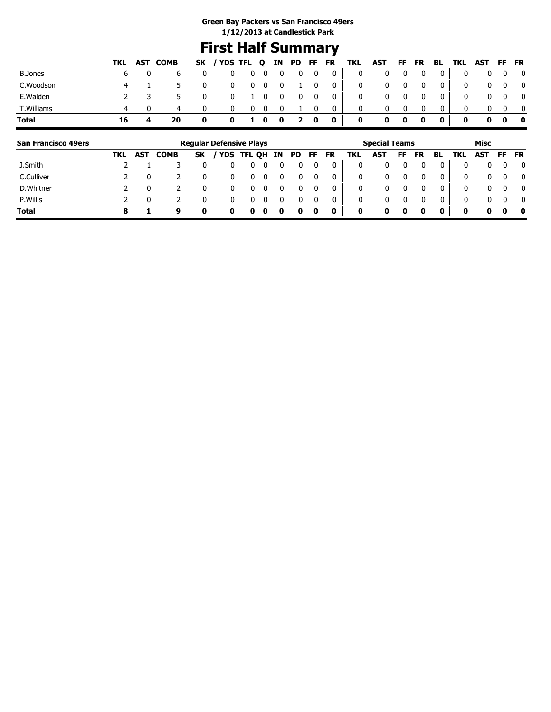## **First Half Summary**

|                |    |    | TKL AST COMB |          | SK / YDS TFL Q IN PD FF FR TKL AST FF FR BL TKL AST FF FR |                    |            |                         |                |                         |                         |              |             |                         |              |              |              |              |            |                         |
|----------------|----|----|--------------|----------|-----------------------------------------------------------|--------------------|------------|-------------------------|----------------|-------------------------|-------------------------|--------------|-------------|-------------------------|--------------|--------------|--------------|--------------|------------|-------------------------|
| <b>B.Jones</b> |    | 6. |              | 0        | $\bf{0}$                                                  |                    | $0\quad 0$ | $\overline{\mathbf{0}}$ | $\overline{0}$ | $\overline{\mathbf{0}}$ | $\overline{\mathbf{0}}$ | $\bf{0}$     |             | $\overline{0}$          | $\mathbf{0}$ | $\mathbf{0}$ | 0            | $\mathbf{0}$ |            | $\mathbf{0}$            |
| C.Woodson      |    |    |              | 0        |                                                           | $0\qquad 0\quad 0$ |            | $\overline{\mathbf{0}}$ |                | 1 0                     | $\overline{\mathbf{0}}$ | $\mathbf{0}$ | $\bf{0}$    | $\overline{\mathbf{0}}$ | $\mathbf 0$  | $\Omega$     | 0            |              | $0\quad 0$ | $\overline{\mathbf{0}}$ |
| E.Walden       |    |    |              | 0        | 0                                                         | $1\quad 0$         |            | $\overline{\mathbf{0}}$ | $\mathbf{0}$   | $\mathbf{0}$            | $\overline{\mathbf{0}}$ | 0            |             | - 0                     | 0            | $\mathbf{0}$ | 0            |              | $0\quad 0$ | $\mathbf{0}$            |
| T.Williams     |    |    | 4            | $\Omega$ |                                                           |                    | $0\quad 0$ | 0                       |                | 0                       | $\mathbf{0}$            | $\mathbf{0}$ |             |                         | $\Omega$     |              | $\Omega$     |              |            |                         |
| Total          | 16 |    | 20           | 0        | 0                                                         |                    |            | 100                     | 20             |                         | $\bullet$               | $\mathbf 0$  | $\mathbf 0$ | 0                       | $\mathbf 0$  | $\mathbf{0}$ | $\mathbf{0}$ | 0            | 0          | $\bullet$               |

| <b>San Francisco 49ers</b> |     | <b>Regular Defensive Plays</b> |             |           |            |   |   |    |    |              | <b>Special Teams</b> |     |     |    |           |          | Misc |            |          |              |
|----------------------------|-----|--------------------------------|-------------|-----------|------------|---|---|----|----|--------------|----------------------|-----|-----|----|-----------|----------|------|------------|----------|--------------|
|                            | TKL | <b>AST</b>                     | <b>COMB</b> | <b>SK</b> | YDS TFL QH |   |   | IN | PD | FF.          | <b>FR</b>            | TKL | AST | FF | <b>FR</b> | BL.      | TKL  | <b>AST</b> | FF       | <b>FR</b>    |
| J.Smith                    |     |                                |             |           |            |   |   |    |    |              |                      | 0   |     |    |           |          | 0    | 0          | 0        | 0            |
| C.Culliver                 |     |                                |             | 0         | 0          |   |   |    |    | 0            |                      | 0   | 0   |    |           | $\Omega$ | 0    | 0          | $\Omega$ | $\mathbf{0}$ |
| D.Whitner                  |     |                                |             |           |            |   |   |    |    |              |                      | 0   | 0   |    |           |          | 0    | 0          | $\Omega$ | $\mathbf{0}$ |
| P.Willis                   |     |                                |             |           |            |   |   |    |    | <sup>0</sup> |                      | 0   | 0   |    |           | 0        | 0    | 0          | $\Omega$ | $\mathbf{0}$ |
| <b>Total</b>               |     |                                | q           |           | 0          | o | 0 |    |    | 0            | 0                    | 0   | 0   |    | 0         | 0        | 0    | 0          | 0        | 0            |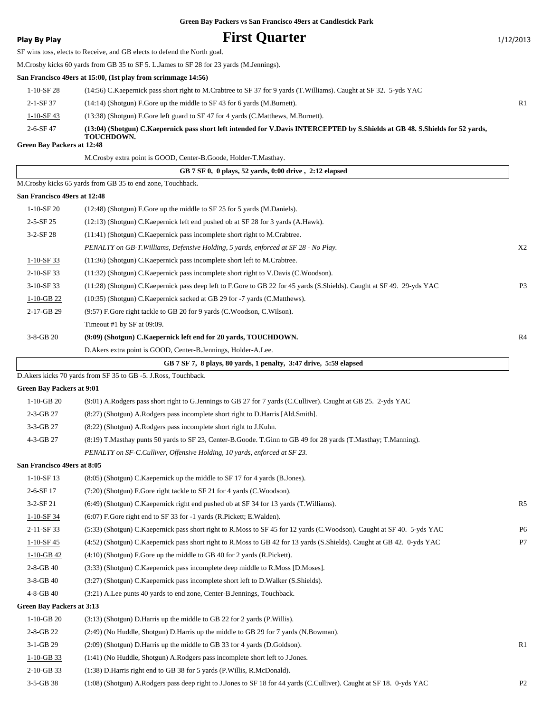### **Play By Play Play Play Play By Play First Quarter** 1/12/2013

SF wins toss, elects to Receive, and GB elects to defend the North goal.

M.Crosby kicks 60 yards from GB 35 to SF 5. L.James to SF 28 for 23 yards (M.Jennings).

**San Francisco 49ers at 15:00, (1st play from scrimmage 14:56)**

| $2 - 6 - SF$ 47 | (13:04) (Shotgun) C.Kaepernick pass short left intended for V.Davis INTERCEPTED by S.Shields at GB 48. S.Shields for 52 vards,<br><b>TOUCHDOWN.</b> |                |
|-----------------|-----------------------------------------------------------------------------------------------------------------------------------------------------|----------------|
| $1-10-SF$ 43    | (13:38) (Shotgun) F.Gore left guard to SF 47 for 4 yards (C.Matthews, M.Burnett).                                                                   |                |
| $2 - 1 - SF$ 37 | $(14:14)$ (Shotgun) F.Gore up the middle to SF 43 for 6 yards (M.Burnett).                                                                          | R <sub>1</sub> |
| $1-10-SF$ 28    | (14:56) C. Kaepernick pass short right to M. Crabtree to SF 37 for 9 yards (T. Williams). Caught at SF 32. 5-yds YAC                                |                |

#### **Green Bay Packers at 12:48**

|                                  | M.Crosby extra point is GOOD, Center-B.Goode, Holder-T.Masthay.                                                        |                |
|----------------------------------|------------------------------------------------------------------------------------------------------------------------|----------------|
|                                  | GB 7 SF 0, 0 plays, 52 yards, 0:00 drive, 2:12 elapsed                                                                 |                |
|                                  | M.Crosby kicks 65 yards from GB 35 to end zone, Touchback.                                                             |                |
| San Francisco 49ers at 12:48     |                                                                                                                        |                |
| 1-10-SF 20                       | (12:48) (Shotgun) F.Gore up the middle to SF 25 for 5 yards (M.Daniels).                                               |                |
| $2 - 5 - SF$ 25                  | (12:13) (Shotgun) C.Kaepernick left end pushed ob at SF 28 for 3 yards (A.Hawk).                                       |                |
| $3-2-SF28$                       | (11:41) (Shotgun) C.Kaepernick pass incomplete short right to M.Crabtree.                                              |                |
|                                  | PENALTY on GB-T. Williams, Defensive Holding, 5 yards, enforced at SF 28 - No Play.                                    | X <sub>2</sub> |
| $1 - 10 - SF33$                  | (11:36) (Shotgun) C.Kaepernick pass incomplete short left to M.Crabtree.                                               |                |
| 2-10-SF 33                       | (11:32) (Shotgun) C.Kaepernick pass incomplete short right to V.Davis (C.Woodson).                                     |                |
| 3-10-SF 33                       | (11:28) (Shotgun) C.Kaepernick pass deep left to F.Gore to GB 22 for 45 yards (S.Shields). Caught at SF 49. 29-yds YAC | P <sub>3</sub> |
| $1-10-GB$ 22                     | (10:35) (Shotgun) C.Kaepernick sacked at GB 29 for -7 yards (C.Matthews).                                              |                |
| 2-17-GB 29                       | (9:57) F.Gore right tackle to GB 20 for 9 yards (C.Woodson, C.Wilson).                                                 |                |
|                                  | Timeout #1 by SF at 09:09.                                                                                             |                |
| 3-8-GB 20                        | (9:09) (Shotgun) C.Kaepernick left end for 20 yards, TOUCHDOWN.                                                        | R <sub>4</sub> |
|                                  | D.Akers extra point is GOOD, Center-B.Jennings, Holder-A.Lee.                                                          |                |
|                                  | GB 7 SF 7, 8 plays, 80 yards, 1 penalty, 3:47 drive, 5:59 elapsed                                                      |                |
|                                  | D. Akers kicks 70 yards from SF 35 to GB -5. J. Ross, Touchback.                                                       |                |
| <b>Green Bay Packers at 9:01</b> |                                                                                                                        |                |
| $1-10-GB$ 20                     | (9:01) A.Rodgers pass short right to G.Jennings to GB 27 for 7 yards (C.Culliver). Caught at GB 25. 2-yds YAC          |                |
| 2-3-GB 27                        | (8:27) (Shotgun) A.Rodgers pass incomplete short right to D.Harris [Ald.Smith].                                        |                |
| 3-3-GB 27                        | (8:22) (Shotgun) A.Rodgers pass incomplete short right to J.Kuhn.                                                      |                |
| 4-3-GB 27                        | (8:19) T. Masthay punts 50 yards to SF 23, Center-B. Goode. T. Ginn to GB 49 for 28 yards (T. Masthay; T. Manning).    |                |
|                                  | PENALTY on SF-C.Culliver, Offensive Holding, 10 yards, enforced at SF 23.                                              |                |
| San Francisco 49ers at 8:05      |                                                                                                                        |                |
| 1-10-SF 13                       | (8:05) (Shotgun) C.Kaepernick up the middle to SF 17 for 4 yards (B.Jones).                                            |                |
| 2-6-SF 17                        | (7:20) (Shotgun) F.Gore right tackle to SF 21 for 4 yards (C.Woodson).                                                 |                |
| $3-2-SF21$                       | $(6:49)$ (Shotgun) C. Kaepernick right end pushed ob at SF 34 for 13 yards (T. Williams).                              | R <sub>5</sub> |
| $1-10-SF$ 34                     | (6:07) F.Gore right end to SF 33 for -1 yards (R.Pickett; E.Walden).                                                   |                |
| 2-11-SF 33                       | (5:33) (Shotgun) C.Kaepernick pass short right to R.Moss to SF 45 for 12 yards (C.Woodson). Caught at SF 40. 5-yds YAC | P <sub>6</sub> |
| $1 - 10 - SF$ 45                 | (4:52) (Shotgun) C.Kaepernick pass short right to R.Moss to GB 42 for 13 yards (S.Shields). Caught at GB 42. 0-yds YAC | P7             |
| $1 - 10 - GB$ 42                 | $(4:10)$ (Shotgun) F.Gore up the middle to GB 40 for 2 yards (R.Pickett).                                              |                |
| 2-8-GB 40                        | (3:33) (Shotgun) C.Kaepernick pass incomplete deep middle to R.Moss [D.Moses].                                         |                |
| $3-8-GB$ 40                      | (3:27) (Shotgun) C.Kaepernick pass incomplete short left to D.Walker (S.Shields).                                      |                |
| 4-8-GB 40                        | (3:21) A.Lee punts 40 yards to end zone, Center-B.Jennings, Touchback.                                                 |                |
| <b>Green Bay Packers at 3:13</b> |                                                                                                                        |                |
| $1-10-GB20$                      | (3:13) (Shotgun) D.Harris up the middle to GB 22 for 2 yards (P.Willis).                                               |                |
| 2-8-GB 22                        | (2:49) (No Huddle, Shotgun) D.Harris up the middle to GB 29 for 7 yards (N.Bowman).                                    |                |
| 3-1-GB 29                        | (2:09) (Shotgun) D.Harris up the middle to GB 33 for 4 yards (D.Goldson).                                              | R1             |
| $1-10-GB$ 33                     | (1:41) (No Huddle, Shotgun) A.Rodgers pass incomplete short left to J.Jones.                                           |                |
| 2-10-GB 33                       | (1:38) D. Harris right end to GB 38 for 5 yards (P. Willis, R. McDonald).                                              |                |
| 3-5-GB 38                        | (1:08) (Shotgun) A.Rodgers pass deep right to J.Jones to SF 18 for 44 yards (C.Culliver). Caught at SF 18. 0-yds YAC   | P <sub>2</sub> |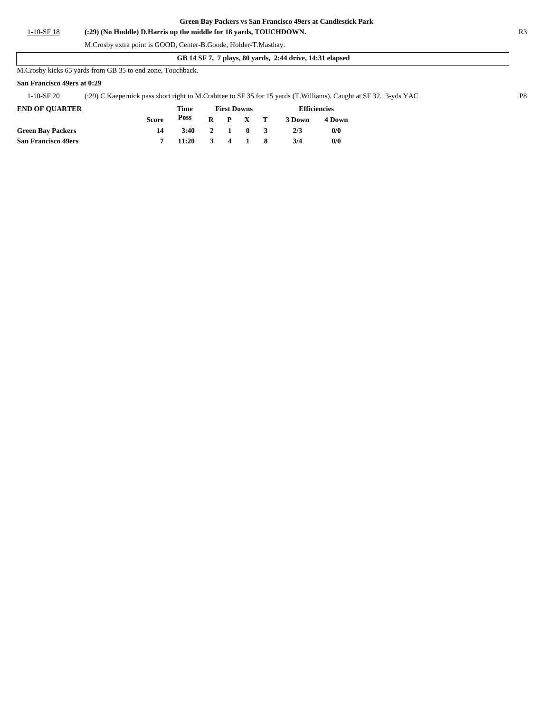1-10-SF 18 **(:29) (No Huddle) D.Harris up the middle for 18 yards, TOUCHDOWN.** R3

### M.Crosby extra point is GOOD, Center-B.Goode, Holder-T.Masthay.

#### **GB 14 SF 7, 7 plays, 80 yards, 2:44 drive, 14:31 elapsed**

M.Crosby kicks 65 yards from GB 35 to end zone, Touchback.

#### **San Francisco 49ers at 0:29**

1-10-SF 20 (:29) C.Kaepernick pass short right to M.Crabtree to SF 35 for 15 yards (T.Williams). Caught at SF 32. 3-yds YAC P8

| <b>END OF OUARTER</b>      |       | Time<br>Poss | <b>First Downs</b> |                 |                         | <b>Efficiencies</b> |        |  |
|----------------------------|-------|--------------|--------------------|-----------------|-------------------------|---------------------|--------|--|
|                            | Score |              |                    | $R$ $P$ $X$ $T$ |                         | 3 Down              | 4 Down |  |
| <b>Green Bay Packers</b>   |       | 3:40         | 2 1 0              |                 | $\overline{\mathbf{3}}$ | 2/3                 | 0/0    |  |
| <b>San Francisco 49ers</b> |       | 11:20        |                    | 3 4 1 8         |                         | 3/4                 | 0/0    |  |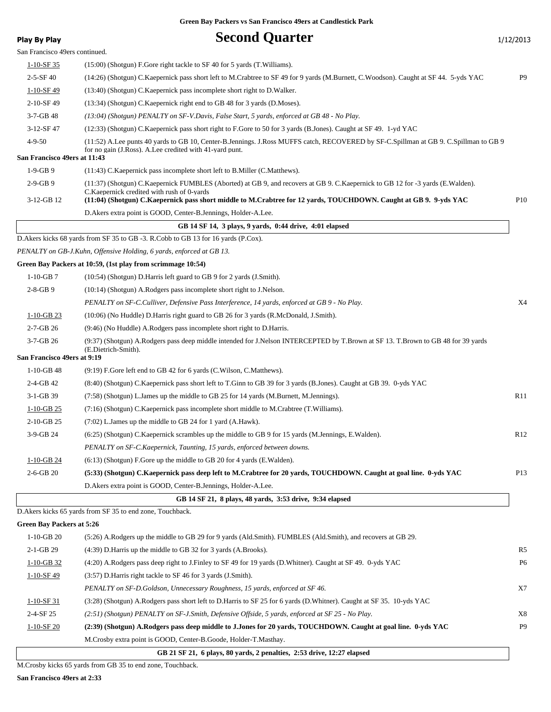| San Francisco 49ers continued.<br>$1 - 10 - SF35$<br>(15:00) (Shotgun) F.Gore right tackle to SF 40 for 5 yards (T.Williams).<br>$2 - 5 - SF40$<br>P <sub>9</sub><br>(14:26) (Shotgun) C.Kaepernick pass short left to M.Crabtree to SF 49 for 9 yards (M.Burnett, C.Woodson). Caught at SF 44. 5-yds YAC<br>$1 - 10 - SF$ 49<br>(13:40) (Shotgun) C.Kaepernick pass incomplete short right to D.Walker.<br>2-10-SF 49<br>(13:34) (Shotgun) C.Kaepernick right end to GB 48 for 3 yards (D.Moses).<br>$3 - 7 - GB$ 48<br>(13:04) (Shotgun) PENALTY on SF-V.Davis, False Start, 5 yards, enforced at GB 48 - No Play.<br>3-12-SF 47<br>(12:33) (Shotgun) C.Kaepernick pass short right to F.Gore to 50 for 3 yards (B.Jones). Caught at SF 49. 1-yd YAC<br>$4 - 9 - 50$<br>(11:52) A.Lee punts 40 yards to GB 10, Center-B.Jennings. J.Ross MUFFS catch, RECOVERED by SF-C.Spillman at GB 9. C.Spillman to GB 9<br>for no gain (J.Ross). A.Lee credited with 41-yard punt.<br>San Francisco 49ers at 11:43<br>$1-9-GB9$<br>(11:43) C. Kaepernick pass incomplete short left to B. Miller (C. Matthews).<br>$2-9-GB9$<br>(11:37) (Shotgun) C.Kaepernick FUMBLES (Aborted) at GB 9, and recovers at GB 9. C.Kaepernick to GB 12 for -3 yards (E.Walden).<br>C. Kaepernick credited with rush of 0-yards<br>P <sub>10</sub><br>3-12-GB 12<br>(11:04) (Shotgun) C.Kaepernick pass short middle to M.Crabtree for 12 yards, TOUCHDOWN. Caught at GB 9. 9-yds YAC<br>D.Akers extra point is GOOD, Center-B.Jennings, Holder-A.Lee.<br>GB 14 SF 14, 3 plays, 9 yards, 0:44 drive, 4:01 elapsed<br>D. Akers kicks 68 yards from SF 35 to GB -3. R. Cobb to GB 13 for 16 yards (P. Cox).<br>PENALTY on GB-J.Kuhn, Offensive Holding, 6 yards, enforced at GB 13.<br>Green Bay Packers at 10:59, (1st play from scrimmage 10:54)<br>$1-10-GB7$<br>$(10:54)$ (Shotgun) D.Harris left guard to GB 9 for 2 yards (J.Smith).<br>$2 - 8 - GB$ 9<br>(10:14) (Shotgun) A.Rodgers pass incomplete short right to J.Nelson.<br>X4<br>PENALTY on SF-C.Culliver, Defensive Pass Interference, 14 yards, enforced at GB 9 - No Play.<br>$1-10-GB$ 23<br>(10:06) (No Huddle) D.Harris right guard to GB 26 for 3 yards (R.McDonald, J.Smith).<br>$2 - 7 - GB$ 26<br>(9:46) (No Huddle) A.Rodgers pass incomplete short right to D.Harris.<br>3-7-GB 26<br>(9:37) (Shotgun) A.Rodgers pass deep middle intended for J.Nelson INTERCEPTED by T.Brown at SF 13. T.Brown to GB 48 for 39 yards<br>(E.Dietrich-Smith).<br>San Francisco 49ers at 9:19<br>$1-10-GB$ 48<br>$(9:19)$ F.Gore left end to GB 42 for 6 yards (C.Wilson, C.Matthews).<br>$2-4-GB$ 42<br>(8:40) (Shotgun) C.Kaepernick pass short left to T.Ginn to GB 39 for 3 yards (B.Jones). Caught at GB 39. 0-yds YAC<br>3-1-GB 39<br>R11<br>(7.58) (Shotgun) L. James up the middle to GB 25 for 14 yards (M. Burnett, M. Jennings).<br>$1-10-GB$ 25<br>(7:16) (Shotgun) C.Kaepernick pass incomplete short middle to M.Crabtree (T.Williams).<br>2-10-GB 25<br>(7:02) L. James up the middle to GB 24 for 1 yard (A. Hawk).<br>3-9-GB 24<br>(6:25) (Shotgun) C.Kaepernick scrambles up the middle to GB 9 for 15 yards (M.Jennings, E.Walden).<br>R <sub>12</sub><br>PENALTY on SF-C.Kaepernick, Taunting, 15 yards, enforced between downs.<br>1-10-GB 24<br>(6:13) (Shotgun) F.Gore up the middle to GB 20 for 4 yards (E.Walden).<br>$2-6-GB$ 20<br>(5:33) (Shotgun) C.Kaepernick pass deep left to M.Crabtree for 20 yards, TOUCHDOWN. Caught at goal line. 0-yds YAC<br>P <sub>13</sub><br>D.Akers extra point is GOOD, Center-B.Jennings, Holder-A.Lee.<br>GB 14 SF 21, 8 plays, 48 yards, 3:53 drive, 9:34 elapsed<br>D. Akers kicks 65 yards from SF 35 to end zone, Touchback.<br><b>Green Bay Packers at 5:26</b><br>$1-10-GB20$<br>(5:26) A.Rodgers up the middle to GB 29 for 9 yards (Ald.Smith). FUMBLES (Ald.Smith), and recovers at GB 29.<br>2-1-GB 29<br>(4:39) D. Harris up the middle to GB 32 for 3 yards (A. Brooks).<br>R5<br><b>P6</b><br>(4:20) A.Rodgers pass deep right to J.Finley to SF 49 for 19 yards (D.Whitner). Caught at SF 49. 0-yds YAC<br>$1 - 10 - GB$ 32<br>1-10-SF49<br>(3:57) D. Harris right tackle to SF 46 for 3 yards (J. Smith).<br>PENALTY on SF-D.Goldson, Unnecessary Roughness, 15 yards, enforced at SF 46.<br>X7<br>(3:28) (Shotgun) A.Rodgers pass short left to D.Harris to SF 25 for 6 yards (D.Whitner). Caught at SF 35. 10-yds YAC<br>$1-10-SF$ 31<br>$2-4-SF25$<br>(2:51) (Shotgun) PENALTY on SF-J.Smith, Defensive Offside, 5 yards, enforced at SF 25 - No Play.<br>X8<br>P <sub>9</sub><br>(2:39) (Shotgun) A.Rodgers pass deep middle to J.Jones for 20 yards, TOUCHDOWN. Caught at goal line. 0-yds YAC<br>$1 - 10 - SF$ 20<br>M. Crosby extra point is GOOD, Center-B. Goode, Holder-T. Masthay.<br>GB 21 SF 21, 6 plays, 80 yards, 2 penalties, 2:53 drive, 12:27 elapsed | <b>Play By Play</b> | <b>Second Quarter</b> | 1/12/2013 |
|----------------------------------------------------------------------------------------------------------------------------------------------------------------------------------------------------------------------------------------------------------------------------------------------------------------------------------------------------------------------------------------------------------------------------------------------------------------------------------------------------------------------------------------------------------------------------------------------------------------------------------------------------------------------------------------------------------------------------------------------------------------------------------------------------------------------------------------------------------------------------------------------------------------------------------------------------------------------------------------------------------------------------------------------------------------------------------------------------------------------------------------------------------------------------------------------------------------------------------------------------------------------------------------------------------------------------------------------------------------------------------------------------------------------------------------------------------------------------------------------------------------------------------------------------------------------------------------------------------------------------------------------------------------------------------------------------------------------------------------------------------------------------------------------------------------------------------------------------------------------------------------------------------------------------------------------------------------------------------------------------------------------------------------------------------------------------------------------------------------------------------------------------------------------------------------------------------------------------------------------------------------------------------------------------------------------------------------------------------------------------------------------------------------------------------------------------------------------------------------------------------------------------------------------------------------------------------------------------------------------------------------------------------------------------------------------------------------------------------------------------------------------------------------------------------------------------------------------------------------------------------------------------------------------------------------------------------------------------------------------------------------------------------------------------------------------------------------------------------------------------------------------------------------------------------------------------------------------------------------------------------------------------------------------------------------------------------------------------------------------------------------------------------------------------------------------------------------------------------------------------------------------------------------------------------------------------------------------------------------------------------------------------------------------------------------------------------------------------------------------------------------------------------------------------------------------------------------------------------------------------------------------------------------------------------------------------------------------------------------------------------------------------------------------------------------------------------------------------------------------------------------------------------------------------------------------------------------------------------------------------------------------------------------------------------------------------------------------------------------------------------------------------------------------------------------------------------------------------------------------------------------------------------------------------------------------------------------------------------------------------------------------------------------------------------------------------------------------------------------------------------------------------------------------------------------------------------------------------------------------------------|---------------------|-----------------------|-----------|
|                                                                                                                                                                                                                                                                                                                                                                                                                                                                                                                                                                                                                                                                                                                                                                                                                                                                                                                                                                                                                                                                                                                                                                                                                                                                                                                                                                                                                                                                                                                                                                                                                                                                                                                                                                                                                                                                                                                                                                                                                                                                                                                                                                                                                                                                                                                                                                                                                                                                                                                                                                                                                                                                                                                                                                                                                                                                                                                                                                                                                                                                                                                                                                                                                                                                                                                                                                                                                                                                                                                                                                                                                                                                                                                                                                                                                                                                                                                                                                                                                                                                                                                                                                                                                                                                                                                                                                                                                                                                                                                                                                                                                                                                                                                                                                                                                                                                                  |                     |                       |           |
|                                                                                                                                                                                                                                                                                                                                                                                                                                                                                                                                                                                                                                                                                                                                                                                                                                                                                                                                                                                                                                                                                                                                                                                                                                                                                                                                                                                                                                                                                                                                                                                                                                                                                                                                                                                                                                                                                                                                                                                                                                                                                                                                                                                                                                                                                                                                                                                                                                                                                                                                                                                                                                                                                                                                                                                                                                                                                                                                                                                                                                                                                                                                                                                                                                                                                                                                                                                                                                                                                                                                                                                                                                                                                                                                                                                                                                                                                                                                                                                                                                                                                                                                                                                                                                                                                                                                                                                                                                                                                                                                                                                                                                                                                                                                                                                                                                                                                  |                     |                       |           |
|                                                                                                                                                                                                                                                                                                                                                                                                                                                                                                                                                                                                                                                                                                                                                                                                                                                                                                                                                                                                                                                                                                                                                                                                                                                                                                                                                                                                                                                                                                                                                                                                                                                                                                                                                                                                                                                                                                                                                                                                                                                                                                                                                                                                                                                                                                                                                                                                                                                                                                                                                                                                                                                                                                                                                                                                                                                                                                                                                                                                                                                                                                                                                                                                                                                                                                                                                                                                                                                                                                                                                                                                                                                                                                                                                                                                                                                                                                                                                                                                                                                                                                                                                                                                                                                                                                                                                                                                                                                                                                                                                                                                                                                                                                                                                                                                                                                                                  |                     |                       |           |
|                                                                                                                                                                                                                                                                                                                                                                                                                                                                                                                                                                                                                                                                                                                                                                                                                                                                                                                                                                                                                                                                                                                                                                                                                                                                                                                                                                                                                                                                                                                                                                                                                                                                                                                                                                                                                                                                                                                                                                                                                                                                                                                                                                                                                                                                                                                                                                                                                                                                                                                                                                                                                                                                                                                                                                                                                                                                                                                                                                                                                                                                                                                                                                                                                                                                                                                                                                                                                                                                                                                                                                                                                                                                                                                                                                                                                                                                                                                                                                                                                                                                                                                                                                                                                                                                                                                                                                                                                                                                                                                                                                                                                                                                                                                                                                                                                                                                                  |                     |                       |           |
|                                                                                                                                                                                                                                                                                                                                                                                                                                                                                                                                                                                                                                                                                                                                                                                                                                                                                                                                                                                                                                                                                                                                                                                                                                                                                                                                                                                                                                                                                                                                                                                                                                                                                                                                                                                                                                                                                                                                                                                                                                                                                                                                                                                                                                                                                                                                                                                                                                                                                                                                                                                                                                                                                                                                                                                                                                                                                                                                                                                                                                                                                                                                                                                                                                                                                                                                                                                                                                                                                                                                                                                                                                                                                                                                                                                                                                                                                                                                                                                                                                                                                                                                                                                                                                                                                                                                                                                                                                                                                                                                                                                                                                                                                                                                                                                                                                                                                  |                     |                       |           |
|                                                                                                                                                                                                                                                                                                                                                                                                                                                                                                                                                                                                                                                                                                                                                                                                                                                                                                                                                                                                                                                                                                                                                                                                                                                                                                                                                                                                                                                                                                                                                                                                                                                                                                                                                                                                                                                                                                                                                                                                                                                                                                                                                                                                                                                                                                                                                                                                                                                                                                                                                                                                                                                                                                                                                                                                                                                                                                                                                                                                                                                                                                                                                                                                                                                                                                                                                                                                                                                                                                                                                                                                                                                                                                                                                                                                                                                                                                                                                                                                                                                                                                                                                                                                                                                                                                                                                                                                                                                                                                                                                                                                                                                                                                                                                                                                                                                                                  |                     |                       |           |
|                                                                                                                                                                                                                                                                                                                                                                                                                                                                                                                                                                                                                                                                                                                                                                                                                                                                                                                                                                                                                                                                                                                                                                                                                                                                                                                                                                                                                                                                                                                                                                                                                                                                                                                                                                                                                                                                                                                                                                                                                                                                                                                                                                                                                                                                                                                                                                                                                                                                                                                                                                                                                                                                                                                                                                                                                                                                                                                                                                                                                                                                                                                                                                                                                                                                                                                                                                                                                                                                                                                                                                                                                                                                                                                                                                                                                                                                                                                                                                                                                                                                                                                                                                                                                                                                                                                                                                                                                                                                                                                                                                                                                                                                                                                                                                                                                                                                                  |                     |                       |           |
|                                                                                                                                                                                                                                                                                                                                                                                                                                                                                                                                                                                                                                                                                                                                                                                                                                                                                                                                                                                                                                                                                                                                                                                                                                                                                                                                                                                                                                                                                                                                                                                                                                                                                                                                                                                                                                                                                                                                                                                                                                                                                                                                                                                                                                                                                                                                                                                                                                                                                                                                                                                                                                                                                                                                                                                                                                                                                                                                                                                                                                                                                                                                                                                                                                                                                                                                                                                                                                                                                                                                                                                                                                                                                                                                                                                                                                                                                                                                                                                                                                                                                                                                                                                                                                                                                                                                                                                                                                                                                                                                                                                                                                                                                                                                                                                                                                                                                  |                     |                       |           |
|                                                                                                                                                                                                                                                                                                                                                                                                                                                                                                                                                                                                                                                                                                                                                                                                                                                                                                                                                                                                                                                                                                                                                                                                                                                                                                                                                                                                                                                                                                                                                                                                                                                                                                                                                                                                                                                                                                                                                                                                                                                                                                                                                                                                                                                                                                                                                                                                                                                                                                                                                                                                                                                                                                                                                                                                                                                                                                                                                                                                                                                                                                                                                                                                                                                                                                                                                                                                                                                                                                                                                                                                                                                                                                                                                                                                                                                                                                                                                                                                                                                                                                                                                                                                                                                                                                                                                                                                                                                                                                                                                                                                                                                                                                                                                                                                                                                                                  |                     |                       |           |
|                                                                                                                                                                                                                                                                                                                                                                                                                                                                                                                                                                                                                                                                                                                                                                                                                                                                                                                                                                                                                                                                                                                                                                                                                                                                                                                                                                                                                                                                                                                                                                                                                                                                                                                                                                                                                                                                                                                                                                                                                                                                                                                                                                                                                                                                                                                                                                                                                                                                                                                                                                                                                                                                                                                                                                                                                                                                                                                                                                                                                                                                                                                                                                                                                                                                                                                                                                                                                                                                                                                                                                                                                                                                                                                                                                                                                                                                                                                                                                                                                                                                                                                                                                                                                                                                                                                                                                                                                                                                                                                                                                                                                                                                                                                                                                                                                                                                                  |                     |                       |           |
|                                                                                                                                                                                                                                                                                                                                                                                                                                                                                                                                                                                                                                                                                                                                                                                                                                                                                                                                                                                                                                                                                                                                                                                                                                                                                                                                                                                                                                                                                                                                                                                                                                                                                                                                                                                                                                                                                                                                                                                                                                                                                                                                                                                                                                                                                                                                                                                                                                                                                                                                                                                                                                                                                                                                                                                                                                                                                                                                                                                                                                                                                                                                                                                                                                                                                                                                                                                                                                                                                                                                                                                                                                                                                                                                                                                                                                                                                                                                                                                                                                                                                                                                                                                                                                                                                                                                                                                                                                                                                                                                                                                                                                                                                                                                                                                                                                                                                  |                     |                       |           |
|                                                                                                                                                                                                                                                                                                                                                                                                                                                                                                                                                                                                                                                                                                                                                                                                                                                                                                                                                                                                                                                                                                                                                                                                                                                                                                                                                                                                                                                                                                                                                                                                                                                                                                                                                                                                                                                                                                                                                                                                                                                                                                                                                                                                                                                                                                                                                                                                                                                                                                                                                                                                                                                                                                                                                                                                                                                                                                                                                                                                                                                                                                                                                                                                                                                                                                                                                                                                                                                                                                                                                                                                                                                                                                                                                                                                                                                                                                                                                                                                                                                                                                                                                                                                                                                                                                                                                                                                                                                                                                                                                                                                                                                                                                                                                                                                                                                                                  |                     |                       |           |
|                                                                                                                                                                                                                                                                                                                                                                                                                                                                                                                                                                                                                                                                                                                                                                                                                                                                                                                                                                                                                                                                                                                                                                                                                                                                                                                                                                                                                                                                                                                                                                                                                                                                                                                                                                                                                                                                                                                                                                                                                                                                                                                                                                                                                                                                                                                                                                                                                                                                                                                                                                                                                                                                                                                                                                                                                                                                                                                                                                                                                                                                                                                                                                                                                                                                                                                                                                                                                                                                                                                                                                                                                                                                                                                                                                                                                                                                                                                                                                                                                                                                                                                                                                                                                                                                                                                                                                                                                                                                                                                                                                                                                                                                                                                                                                                                                                                                                  |                     |                       |           |
|                                                                                                                                                                                                                                                                                                                                                                                                                                                                                                                                                                                                                                                                                                                                                                                                                                                                                                                                                                                                                                                                                                                                                                                                                                                                                                                                                                                                                                                                                                                                                                                                                                                                                                                                                                                                                                                                                                                                                                                                                                                                                                                                                                                                                                                                                                                                                                                                                                                                                                                                                                                                                                                                                                                                                                                                                                                                                                                                                                                                                                                                                                                                                                                                                                                                                                                                                                                                                                                                                                                                                                                                                                                                                                                                                                                                                                                                                                                                                                                                                                                                                                                                                                                                                                                                                                                                                                                                                                                                                                                                                                                                                                                                                                                                                                                                                                                                                  |                     |                       |           |
|                                                                                                                                                                                                                                                                                                                                                                                                                                                                                                                                                                                                                                                                                                                                                                                                                                                                                                                                                                                                                                                                                                                                                                                                                                                                                                                                                                                                                                                                                                                                                                                                                                                                                                                                                                                                                                                                                                                                                                                                                                                                                                                                                                                                                                                                                                                                                                                                                                                                                                                                                                                                                                                                                                                                                                                                                                                                                                                                                                                                                                                                                                                                                                                                                                                                                                                                                                                                                                                                                                                                                                                                                                                                                                                                                                                                                                                                                                                                                                                                                                                                                                                                                                                                                                                                                                                                                                                                                                                                                                                                                                                                                                                                                                                                                                                                                                                                                  |                     |                       |           |
|                                                                                                                                                                                                                                                                                                                                                                                                                                                                                                                                                                                                                                                                                                                                                                                                                                                                                                                                                                                                                                                                                                                                                                                                                                                                                                                                                                                                                                                                                                                                                                                                                                                                                                                                                                                                                                                                                                                                                                                                                                                                                                                                                                                                                                                                                                                                                                                                                                                                                                                                                                                                                                                                                                                                                                                                                                                                                                                                                                                                                                                                                                                                                                                                                                                                                                                                                                                                                                                                                                                                                                                                                                                                                                                                                                                                                                                                                                                                                                                                                                                                                                                                                                                                                                                                                                                                                                                                                                                                                                                                                                                                                                                                                                                                                                                                                                                                                  |                     |                       |           |
|                                                                                                                                                                                                                                                                                                                                                                                                                                                                                                                                                                                                                                                                                                                                                                                                                                                                                                                                                                                                                                                                                                                                                                                                                                                                                                                                                                                                                                                                                                                                                                                                                                                                                                                                                                                                                                                                                                                                                                                                                                                                                                                                                                                                                                                                                                                                                                                                                                                                                                                                                                                                                                                                                                                                                                                                                                                                                                                                                                                                                                                                                                                                                                                                                                                                                                                                                                                                                                                                                                                                                                                                                                                                                                                                                                                                                                                                                                                                                                                                                                                                                                                                                                                                                                                                                                                                                                                                                                                                                                                                                                                                                                                                                                                                                                                                                                                                                  |                     |                       |           |
|                                                                                                                                                                                                                                                                                                                                                                                                                                                                                                                                                                                                                                                                                                                                                                                                                                                                                                                                                                                                                                                                                                                                                                                                                                                                                                                                                                                                                                                                                                                                                                                                                                                                                                                                                                                                                                                                                                                                                                                                                                                                                                                                                                                                                                                                                                                                                                                                                                                                                                                                                                                                                                                                                                                                                                                                                                                                                                                                                                                                                                                                                                                                                                                                                                                                                                                                                                                                                                                                                                                                                                                                                                                                                                                                                                                                                                                                                                                                                                                                                                                                                                                                                                                                                                                                                                                                                                                                                                                                                                                                                                                                                                                                                                                                                                                                                                                                                  |                     |                       |           |
|                                                                                                                                                                                                                                                                                                                                                                                                                                                                                                                                                                                                                                                                                                                                                                                                                                                                                                                                                                                                                                                                                                                                                                                                                                                                                                                                                                                                                                                                                                                                                                                                                                                                                                                                                                                                                                                                                                                                                                                                                                                                                                                                                                                                                                                                                                                                                                                                                                                                                                                                                                                                                                                                                                                                                                                                                                                                                                                                                                                                                                                                                                                                                                                                                                                                                                                                                                                                                                                                                                                                                                                                                                                                                                                                                                                                                                                                                                                                                                                                                                                                                                                                                                                                                                                                                                                                                                                                                                                                                                                                                                                                                                                                                                                                                                                                                                                                                  |                     |                       |           |
|                                                                                                                                                                                                                                                                                                                                                                                                                                                                                                                                                                                                                                                                                                                                                                                                                                                                                                                                                                                                                                                                                                                                                                                                                                                                                                                                                                                                                                                                                                                                                                                                                                                                                                                                                                                                                                                                                                                                                                                                                                                                                                                                                                                                                                                                                                                                                                                                                                                                                                                                                                                                                                                                                                                                                                                                                                                                                                                                                                                                                                                                                                                                                                                                                                                                                                                                                                                                                                                                                                                                                                                                                                                                                                                                                                                                                                                                                                                                                                                                                                                                                                                                                                                                                                                                                                                                                                                                                                                                                                                                                                                                                                                                                                                                                                                                                                                                                  |                     |                       |           |
|                                                                                                                                                                                                                                                                                                                                                                                                                                                                                                                                                                                                                                                                                                                                                                                                                                                                                                                                                                                                                                                                                                                                                                                                                                                                                                                                                                                                                                                                                                                                                                                                                                                                                                                                                                                                                                                                                                                                                                                                                                                                                                                                                                                                                                                                                                                                                                                                                                                                                                                                                                                                                                                                                                                                                                                                                                                                                                                                                                                                                                                                                                                                                                                                                                                                                                                                                                                                                                                                                                                                                                                                                                                                                                                                                                                                                                                                                                                                                                                                                                                                                                                                                                                                                                                                                                                                                                                                                                                                                                                                                                                                                                                                                                                                                                                                                                                                                  |                     |                       |           |
|                                                                                                                                                                                                                                                                                                                                                                                                                                                                                                                                                                                                                                                                                                                                                                                                                                                                                                                                                                                                                                                                                                                                                                                                                                                                                                                                                                                                                                                                                                                                                                                                                                                                                                                                                                                                                                                                                                                                                                                                                                                                                                                                                                                                                                                                                                                                                                                                                                                                                                                                                                                                                                                                                                                                                                                                                                                                                                                                                                                                                                                                                                                                                                                                                                                                                                                                                                                                                                                                                                                                                                                                                                                                                                                                                                                                                                                                                                                                                                                                                                                                                                                                                                                                                                                                                                                                                                                                                                                                                                                                                                                                                                                                                                                                                                                                                                                                                  |                     |                       |           |
|                                                                                                                                                                                                                                                                                                                                                                                                                                                                                                                                                                                                                                                                                                                                                                                                                                                                                                                                                                                                                                                                                                                                                                                                                                                                                                                                                                                                                                                                                                                                                                                                                                                                                                                                                                                                                                                                                                                                                                                                                                                                                                                                                                                                                                                                                                                                                                                                                                                                                                                                                                                                                                                                                                                                                                                                                                                                                                                                                                                                                                                                                                                                                                                                                                                                                                                                                                                                                                                                                                                                                                                                                                                                                                                                                                                                                                                                                                                                                                                                                                                                                                                                                                                                                                                                                                                                                                                                                                                                                                                                                                                                                                                                                                                                                                                                                                                                                  |                     |                       |           |
|                                                                                                                                                                                                                                                                                                                                                                                                                                                                                                                                                                                                                                                                                                                                                                                                                                                                                                                                                                                                                                                                                                                                                                                                                                                                                                                                                                                                                                                                                                                                                                                                                                                                                                                                                                                                                                                                                                                                                                                                                                                                                                                                                                                                                                                                                                                                                                                                                                                                                                                                                                                                                                                                                                                                                                                                                                                                                                                                                                                                                                                                                                                                                                                                                                                                                                                                                                                                                                                                                                                                                                                                                                                                                                                                                                                                                                                                                                                                                                                                                                                                                                                                                                                                                                                                                                                                                                                                                                                                                                                                                                                                                                                                                                                                                                                                                                                                                  |                     |                       |           |
|                                                                                                                                                                                                                                                                                                                                                                                                                                                                                                                                                                                                                                                                                                                                                                                                                                                                                                                                                                                                                                                                                                                                                                                                                                                                                                                                                                                                                                                                                                                                                                                                                                                                                                                                                                                                                                                                                                                                                                                                                                                                                                                                                                                                                                                                                                                                                                                                                                                                                                                                                                                                                                                                                                                                                                                                                                                                                                                                                                                                                                                                                                                                                                                                                                                                                                                                                                                                                                                                                                                                                                                                                                                                                                                                                                                                                                                                                                                                                                                                                                                                                                                                                                                                                                                                                                                                                                                                                                                                                                                                                                                                                                                                                                                                                                                                                                                                                  |                     |                       |           |
|                                                                                                                                                                                                                                                                                                                                                                                                                                                                                                                                                                                                                                                                                                                                                                                                                                                                                                                                                                                                                                                                                                                                                                                                                                                                                                                                                                                                                                                                                                                                                                                                                                                                                                                                                                                                                                                                                                                                                                                                                                                                                                                                                                                                                                                                                                                                                                                                                                                                                                                                                                                                                                                                                                                                                                                                                                                                                                                                                                                                                                                                                                                                                                                                                                                                                                                                                                                                                                                                                                                                                                                                                                                                                                                                                                                                                                                                                                                                                                                                                                                                                                                                                                                                                                                                                                                                                                                                                                                                                                                                                                                                                                                                                                                                                                                                                                                                                  |                     |                       |           |
|                                                                                                                                                                                                                                                                                                                                                                                                                                                                                                                                                                                                                                                                                                                                                                                                                                                                                                                                                                                                                                                                                                                                                                                                                                                                                                                                                                                                                                                                                                                                                                                                                                                                                                                                                                                                                                                                                                                                                                                                                                                                                                                                                                                                                                                                                                                                                                                                                                                                                                                                                                                                                                                                                                                                                                                                                                                                                                                                                                                                                                                                                                                                                                                                                                                                                                                                                                                                                                                                                                                                                                                                                                                                                                                                                                                                                                                                                                                                                                                                                                                                                                                                                                                                                                                                                                                                                                                                                                                                                                                                                                                                                                                                                                                                                                                                                                                                                  |                     |                       |           |
|                                                                                                                                                                                                                                                                                                                                                                                                                                                                                                                                                                                                                                                                                                                                                                                                                                                                                                                                                                                                                                                                                                                                                                                                                                                                                                                                                                                                                                                                                                                                                                                                                                                                                                                                                                                                                                                                                                                                                                                                                                                                                                                                                                                                                                                                                                                                                                                                                                                                                                                                                                                                                                                                                                                                                                                                                                                                                                                                                                                                                                                                                                                                                                                                                                                                                                                                                                                                                                                                                                                                                                                                                                                                                                                                                                                                                                                                                                                                                                                                                                                                                                                                                                                                                                                                                                                                                                                                                                                                                                                                                                                                                                                                                                                                                                                                                                                                                  |                     |                       |           |
|                                                                                                                                                                                                                                                                                                                                                                                                                                                                                                                                                                                                                                                                                                                                                                                                                                                                                                                                                                                                                                                                                                                                                                                                                                                                                                                                                                                                                                                                                                                                                                                                                                                                                                                                                                                                                                                                                                                                                                                                                                                                                                                                                                                                                                                                                                                                                                                                                                                                                                                                                                                                                                                                                                                                                                                                                                                                                                                                                                                                                                                                                                                                                                                                                                                                                                                                                                                                                                                                                                                                                                                                                                                                                                                                                                                                                                                                                                                                                                                                                                                                                                                                                                                                                                                                                                                                                                                                                                                                                                                                                                                                                                                                                                                                                                                                                                                                                  |                     |                       |           |
|                                                                                                                                                                                                                                                                                                                                                                                                                                                                                                                                                                                                                                                                                                                                                                                                                                                                                                                                                                                                                                                                                                                                                                                                                                                                                                                                                                                                                                                                                                                                                                                                                                                                                                                                                                                                                                                                                                                                                                                                                                                                                                                                                                                                                                                                                                                                                                                                                                                                                                                                                                                                                                                                                                                                                                                                                                                                                                                                                                                                                                                                                                                                                                                                                                                                                                                                                                                                                                                                                                                                                                                                                                                                                                                                                                                                                                                                                                                                                                                                                                                                                                                                                                                                                                                                                                                                                                                                                                                                                                                                                                                                                                                                                                                                                                                                                                                                                  |                     |                       |           |
|                                                                                                                                                                                                                                                                                                                                                                                                                                                                                                                                                                                                                                                                                                                                                                                                                                                                                                                                                                                                                                                                                                                                                                                                                                                                                                                                                                                                                                                                                                                                                                                                                                                                                                                                                                                                                                                                                                                                                                                                                                                                                                                                                                                                                                                                                                                                                                                                                                                                                                                                                                                                                                                                                                                                                                                                                                                                                                                                                                                                                                                                                                                                                                                                                                                                                                                                                                                                                                                                                                                                                                                                                                                                                                                                                                                                                                                                                                                                                                                                                                                                                                                                                                                                                                                                                                                                                                                                                                                                                                                                                                                                                                                                                                                                                                                                                                                                                  |                     |                       |           |
|                                                                                                                                                                                                                                                                                                                                                                                                                                                                                                                                                                                                                                                                                                                                                                                                                                                                                                                                                                                                                                                                                                                                                                                                                                                                                                                                                                                                                                                                                                                                                                                                                                                                                                                                                                                                                                                                                                                                                                                                                                                                                                                                                                                                                                                                                                                                                                                                                                                                                                                                                                                                                                                                                                                                                                                                                                                                                                                                                                                                                                                                                                                                                                                                                                                                                                                                                                                                                                                                                                                                                                                                                                                                                                                                                                                                                                                                                                                                                                                                                                                                                                                                                                                                                                                                                                                                                                                                                                                                                                                                                                                                                                                                                                                                                                                                                                                                                  |                     |                       |           |
|                                                                                                                                                                                                                                                                                                                                                                                                                                                                                                                                                                                                                                                                                                                                                                                                                                                                                                                                                                                                                                                                                                                                                                                                                                                                                                                                                                                                                                                                                                                                                                                                                                                                                                                                                                                                                                                                                                                                                                                                                                                                                                                                                                                                                                                                                                                                                                                                                                                                                                                                                                                                                                                                                                                                                                                                                                                                                                                                                                                                                                                                                                                                                                                                                                                                                                                                                                                                                                                                                                                                                                                                                                                                                                                                                                                                                                                                                                                                                                                                                                                                                                                                                                                                                                                                                                                                                                                                                                                                                                                                                                                                                                                                                                                                                                                                                                                                                  |                     |                       |           |
|                                                                                                                                                                                                                                                                                                                                                                                                                                                                                                                                                                                                                                                                                                                                                                                                                                                                                                                                                                                                                                                                                                                                                                                                                                                                                                                                                                                                                                                                                                                                                                                                                                                                                                                                                                                                                                                                                                                                                                                                                                                                                                                                                                                                                                                                                                                                                                                                                                                                                                                                                                                                                                                                                                                                                                                                                                                                                                                                                                                                                                                                                                                                                                                                                                                                                                                                                                                                                                                                                                                                                                                                                                                                                                                                                                                                                                                                                                                                                                                                                                                                                                                                                                                                                                                                                                                                                                                                                                                                                                                                                                                                                                                                                                                                                                                                                                                                                  |                     |                       |           |
|                                                                                                                                                                                                                                                                                                                                                                                                                                                                                                                                                                                                                                                                                                                                                                                                                                                                                                                                                                                                                                                                                                                                                                                                                                                                                                                                                                                                                                                                                                                                                                                                                                                                                                                                                                                                                                                                                                                                                                                                                                                                                                                                                                                                                                                                                                                                                                                                                                                                                                                                                                                                                                                                                                                                                                                                                                                                                                                                                                                                                                                                                                                                                                                                                                                                                                                                                                                                                                                                                                                                                                                                                                                                                                                                                                                                                                                                                                                                                                                                                                                                                                                                                                                                                                                                                                                                                                                                                                                                                                                                                                                                                                                                                                                                                                                                                                                                                  |                     |                       |           |
|                                                                                                                                                                                                                                                                                                                                                                                                                                                                                                                                                                                                                                                                                                                                                                                                                                                                                                                                                                                                                                                                                                                                                                                                                                                                                                                                                                                                                                                                                                                                                                                                                                                                                                                                                                                                                                                                                                                                                                                                                                                                                                                                                                                                                                                                                                                                                                                                                                                                                                                                                                                                                                                                                                                                                                                                                                                                                                                                                                                                                                                                                                                                                                                                                                                                                                                                                                                                                                                                                                                                                                                                                                                                                                                                                                                                                                                                                                                                                                                                                                                                                                                                                                                                                                                                                                                                                                                                                                                                                                                                                                                                                                                                                                                                                                                                                                                                                  |                     |                       |           |
|                                                                                                                                                                                                                                                                                                                                                                                                                                                                                                                                                                                                                                                                                                                                                                                                                                                                                                                                                                                                                                                                                                                                                                                                                                                                                                                                                                                                                                                                                                                                                                                                                                                                                                                                                                                                                                                                                                                                                                                                                                                                                                                                                                                                                                                                                                                                                                                                                                                                                                                                                                                                                                                                                                                                                                                                                                                                                                                                                                                                                                                                                                                                                                                                                                                                                                                                                                                                                                                                                                                                                                                                                                                                                                                                                                                                                                                                                                                                                                                                                                                                                                                                                                                                                                                                                                                                                                                                                                                                                                                                                                                                                                                                                                                                                                                                                                                                                  |                     |                       |           |
|                                                                                                                                                                                                                                                                                                                                                                                                                                                                                                                                                                                                                                                                                                                                                                                                                                                                                                                                                                                                                                                                                                                                                                                                                                                                                                                                                                                                                                                                                                                                                                                                                                                                                                                                                                                                                                                                                                                                                                                                                                                                                                                                                                                                                                                                                                                                                                                                                                                                                                                                                                                                                                                                                                                                                                                                                                                                                                                                                                                                                                                                                                                                                                                                                                                                                                                                                                                                                                                                                                                                                                                                                                                                                                                                                                                                                                                                                                                                                                                                                                                                                                                                                                                                                                                                                                                                                                                                                                                                                                                                                                                                                                                                                                                                                                                                                                                                                  |                     |                       |           |
|                                                                                                                                                                                                                                                                                                                                                                                                                                                                                                                                                                                                                                                                                                                                                                                                                                                                                                                                                                                                                                                                                                                                                                                                                                                                                                                                                                                                                                                                                                                                                                                                                                                                                                                                                                                                                                                                                                                                                                                                                                                                                                                                                                                                                                                                                                                                                                                                                                                                                                                                                                                                                                                                                                                                                                                                                                                                                                                                                                                                                                                                                                                                                                                                                                                                                                                                                                                                                                                                                                                                                                                                                                                                                                                                                                                                                                                                                                                                                                                                                                                                                                                                                                                                                                                                                                                                                                                                                                                                                                                                                                                                                                                                                                                                                                                                                                                                                  |                     |                       |           |
|                                                                                                                                                                                                                                                                                                                                                                                                                                                                                                                                                                                                                                                                                                                                                                                                                                                                                                                                                                                                                                                                                                                                                                                                                                                                                                                                                                                                                                                                                                                                                                                                                                                                                                                                                                                                                                                                                                                                                                                                                                                                                                                                                                                                                                                                                                                                                                                                                                                                                                                                                                                                                                                                                                                                                                                                                                                                                                                                                                                                                                                                                                                                                                                                                                                                                                                                                                                                                                                                                                                                                                                                                                                                                                                                                                                                                                                                                                                                                                                                                                                                                                                                                                                                                                                                                                                                                                                                                                                                                                                                                                                                                                                                                                                                                                                                                                                                                  |                     |                       |           |
|                                                                                                                                                                                                                                                                                                                                                                                                                                                                                                                                                                                                                                                                                                                                                                                                                                                                                                                                                                                                                                                                                                                                                                                                                                                                                                                                                                                                                                                                                                                                                                                                                                                                                                                                                                                                                                                                                                                                                                                                                                                                                                                                                                                                                                                                                                                                                                                                                                                                                                                                                                                                                                                                                                                                                                                                                                                                                                                                                                                                                                                                                                                                                                                                                                                                                                                                                                                                                                                                                                                                                                                                                                                                                                                                                                                                                                                                                                                                                                                                                                                                                                                                                                                                                                                                                                                                                                                                                                                                                                                                                                                                                                                                                                                                                                                                                                                                                  |                     |                       |           |
|                                                                                                                                                                                                                                                                                                                                                                                                                                                                                                                                                                                                                                                                                                                                                                                                                                                                                                                                                                                                                                                                                                                                                                                                                                                                                                                                                                                                                                                                                                                                                                                                                                                                                                                                                                                                                                                                                                                                                                                                                                                                                                                                                                                                                                                                                                                                                                                                                                                                                                                                                                                                                                                                                                                                                                                                                                                                                                                                                                                                                                                                                                                                                                                                                                                                                                                                                                                                                                                                                                                                                                                                                                                                                                                                                                                                                                                                                                                                                                                                                                                                                                                                                                                                                                                                                                                                                                                                                                                                                                                                                                                                                                                                                                                                                                                                                                                                                  |                     |                       |           |
|                                                                                                                                                                                                                                                                                                                                                                                                                                                                                                                                                                                                                                                                                                                                                                                                                                                                                                                                                                                                                                                                                                                                                                                                                                                                                                                                                                                                                                                                                                                                                                                                                                                                                                                                                                                                                                                                                                                                                                                                                                                                                                                                                                                                                                                                                                                                                                                                                                                                                                                                                                                                                                                                                                                                                                                                                                                                                                                                                                                                                                                                                                                                                                                                                                                                                                                                                                                                                                                                                                                                                                                                                                                                                                                                                                                                                                                                                                                                                                                                                                                                                                                                                                                                                                                                                                                                                                                                                                                                                                                                                                                                                                                                                                                                                                                                                                                                                  |                     |                       |           |
|                                                                                                                                                                                                                                                                                                                                                                                                                                                                                                                                                                                                                                                                                                                                                                                                                                                                                                                                                                                                                                                                                                                                                                                                                                                                                                                                                                                                                                                                                                                                                                                                                                                                                                                                                                                                                                                                                                                                                                                                                                                                                                                                                                                                                                                                                                                                                                                                                                                                                                                                                                                                                                                                                                                                                                                                                                                                                                                                                                                                                                                                                                                                                                                                                                                                                                                                                                                                                                                                                                                                                                                                                                                                                                                                                                                                                                                                                                                                                                                                                                                                                                                                                                                                                                                                                                                                                                                                                                                                                                                                                                                                                                                                                                                                                                                                                                                                                  |                     |                       |           |
|                                                                                                                                                                                                                                                                                                                                                                                                                                                                                                                                                                                                                                                                                                                                                                                                                                                                                                                                                                                                                                                                                                                                                                                                                                                                                                                                                                                                                                                                                                                                                                                                                                                                                                                                                                                                                                                                                                                                                                                                                                                                                                                                                                                                                                                                                                                                                                                                                                                                                                                                                                                                                                                                                                                                                                                                                                                                                                                                                                                                                                                                                                                                                                                                                                                                                                                                                                                                                                                                                                                                                                                                                                                                                                                                                                                                                                                                                                                                                                                                                                                                                                                                                                                                                                                                                                                                                                                                                                                                                                                                                                                                                                                                                                                                                                                                                                                                                  |                     |                       |           |
|                                                                                                                                                                                                                                                                                                                                                                                                                                                                                                                                                                                                                                                                                                                                                                                                                                                                                                                                                                                                                                                                                                                                                                                                                                                                                                                                                                                                                                                                                                                                                                                                                                                                                                                                                                                                                                                                                                                                                                                                                                                                                                                                                                                                                                                                                                                                                                                                                                                                                                                                                                                                                                                                                                                                                                                                                                                                                                                                                                                                                                                                                                                                                                                                                                                                                                                                                                                                                                                                                                                                                                                                                                                                                                                                                                                                                                                                                                                                                                                                                                                                                                                                                                                                                                                                                                                                                                                                                                                                                                                                                                                                                                                                                                                                                                                                                                                                                  |                     |                       |           |

M.Crosby kicks 65 yards from GB 35 to end zone, Touchback.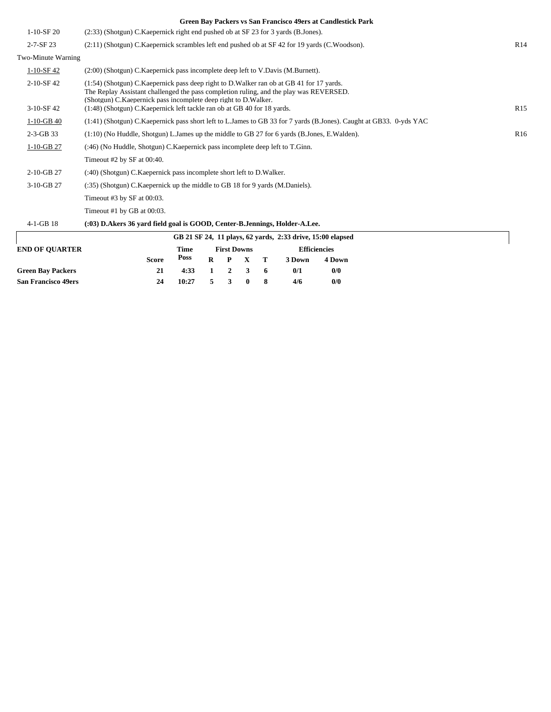|                           | Green Bay Packers vs San Francisco 49ers at Candlestick Park                                                                                                                                                                                                                                                                        |                 |  |  |  |  |  |  |
|---------------------------|-------------------------------------------------------------------------------------------------------------------------------------------------------------------------------------------------------------------------------------------------------------------------------------------------------------------------------------|-----------------|--|--|--|--|--|--|
| $1-10-SF$ 20              | (2.33) (Shotgun) C.Kaepernick right end pushed ob at SF 23 for 3 yards (B.Jones).                                                                                                                                                                                                                                                   |                 |  |  |  |  |  |  |
| $2 - 7 - SF$ 23           | (2:11) (Shotgun) C.Kaepernick scrambles left end pushed ob at SF 42 for 19 yards (C.Woodson).                                                                                                                                                                                                                                       | R14             |  |  |  |  |  |  |
| Two-Minute Warning        |                                                                                                                                                                                                                                                                                                                                     |                 |  |  |  |  |  |  |
| $1-10-SF42$               | (2:00) (Shotgun) C. Kaepernick pass incomplete deep left to V. Davis (M. Burnett).                                                                                                                                                                                                                                                  |                 |  |  |  |  |  |  |
| 2-10-SF 42<br>$3-10-SF42$ | (1:54) (Shotgun) C. Kaepernick pass deep right to D. Walker ran ob at GB 41 for 17 yards.<br>The Replay Assistant challenged the pass completion ruling, and the play was REVERSED.<br>(Shotgun) C. Kaepernick pass incomplete deep right to D. Walker.<br>(1:48) (Shotgun) C. Kaepernick left tackle ran ob at GB 40 for 18 yards. | R15             |  |  |  |  |  |  |
| $1-10-GB$ 40              | (1:41) (Shotgun) C.Kaepernick pass short left to L.James to GB 33 for 7 yards (B.Jones). Caught at GB33. 0-yds YAC                                                                                                                                                                                                                  |                 |  |  |  |  |  |  |
| $2-3-GB$ 33               | $(1:10)$ (No Huddle, Shotgun) L. James up the middle to GB 27 for 6 yards (B. Jones, E. Walden).                                                                                                                                                                                                                                    | R <sub>16</sub> |  |  |  |  |  |  |
| $1-10-GB$ 27              | (:46) (No Huddle, Shotgun) C. Kaepernick pass incomplete deep left to T. Ginn.                                                                                                                                                                                                                                                      |                 |  |  |  |  |  |  |
|                           | Timeout #2 by SF at 00:40.                                                                                                                                                                                                                                                                                                          |                 |  |  |  |  |  |  |
| 2-10-GB 27                | (:40) (Shotgun) C. Kaepernick pass incomplete short left to D. Walker.                                                                                                                                                                                                                                                              |                 |  |  |  |  |  |  |
| 3-10-GB 27                | (:35) (Shotgun) C. Kaepernick up the middle to GB 18 for 9 yards (M. Daniels).                                                                                                                                                                                                                                                      |                 |  |  |  |  |  |  |
|                           | Timeout #3 by SF at 00:03.                                                                                                                                                                                                                                                                                                          |                 |  |  |  |  |  |  |
|                           | Timeout #1 by GB at 00:03.                                                                                                                                                                                                                                                                                                          |                 |  |  |  |  |  |  |
| $4-1-GB$ 18               | (:03) D.Akers 36 yard field goal is GOOD, Center-B.Jennings, Holder-A.Lee.                                                                                                                                                                                                                                                          |                 |  |  |  |  |  |  |
|                           | GB 21 SF 24, 11 plays, 62 yards, 2:33 drive, 15:00 elapsed                                                                                                                                                                                                                                                                          |                 |  |  |  |  |  |  |
|                           |                                                                                                                                                                                                                                                                                                                                     |                 |  |  |  |  |  |  |

| <b>END OF OUARTER</b>      | Time  | <b>First Downs</b>     |  |  |                 | Efficiencies |        |        |  |
|----------------------------|-------|------------------------|--|--|-----------------|--------------|--------|--------|--|
|                            | Score | Poss                   |  |  | $R$ $P$ $X$ $T$ |              | 3 Down | 4 Down |  |
| <b>Green Bay Packers</b>   | 21    | $4:33 \t1 \t2 \t3 \t6$ |  |  |                 |              | 0/1    | 0/0    |  |
| <b>San Francisco 49ers</b> | 24    | 10:27                  |  |  | 5 3 0           |              | 4/6    | 0/0    |  |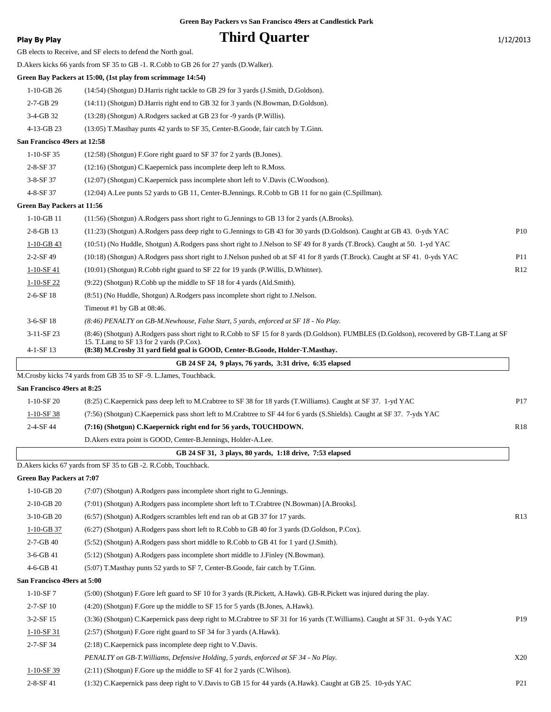### **Play By Play Play Play Play By Play Third Quarter** 1/12/2013

GB elects to Receive, and SF elects to defend the North goal.

D.Akers kicks 66 yards from SF 35 to GB -1. R.Cobb to GB 26 for 27 yards (D.Walker).

**Green Bay Packers at 15:00, (1st play from scrimmage 14:54)**

1-10-GB 26 (14:54) (Shotgun) D.Harris right tackle to GB 29 for 3 yards (J.Smith, D.Goldson).

2-7-GB 29 (14:11) (Shotgun) D.Harris right end to GB 32 for 3 yards (N.Bowman, D.Goldson).

3-4-GB 32 (13:28) (Shotgun) A.Rodgers sacked at GB 23 for -9 yards (P.Willis).

4-13-GB 23 (13:05) T.Masthay punts 42 yards to SF 35, Center-B.Goode, fair catch by T.Ginn.

#### **San Francisco 49ers at 12:58**

| $1-10-$ SF 35   | (12:58) (Shotgun) F.Gore right guard to SF 37 for 2 vards (B.Jones).                                |
|-----------------|-----------------------------------------------------------------------------------------------------|
| $2 - 8 - SF 37$ | (12:16) (Shotgun) C.Kaepernick pass incomplete deep left to R.Moss.                                 |
| $3 - 8 - SF 37$ | (12:07) (Shotgun) C. Kaepernick pass incomplete short left to V. Davis (C. Woodson).                |
| $4 - 8 - SF 37$ | (12:04) A.Lee punts 52 yards to GB 11, Center-B.Jennings. R.Cobb to GB 11 for no gain (C.Spillman). |

#### **Green Bay Packers at 11:56**

| $1-10-GB$ 11    | (11:56) (Shotgun) A.Rodgers pass short right to G.Jennings to GB 13 for 2 yards (A.Brooks).                                                                                             |                 |
|-----------------|-----------------------------------------------------------------------------------------------------------------------------------------------------------------------------------------|-----------------|
| $2 - 8 - GB$ 13 | (11:23) (Shotgun) A.Rodgers pass deep right to G.Jennings to GB 43 for 30 yards (D.Goldson). Caught at GB 43. 0-yds YAC                                                                 | P10             |
| $1-10-GB$ 43    | (10:51) (No Huddle, Shotgun) A.Rodgers pass short right to J.Nelson to SF 49 for 8 yards (T.Brock). Caught at 50. 1-yd YAC                                                              |                 |
| $2 - 2 - SF$ 49 | (10:18) (Shotgun) A.Rodgers pass short right to J.Nelson pushed ob at SF 41 for 8 yards (T.Brock). Caught at SF 41. 0-yds YAC                                                           | P <sub>11</sub> |
| $1-10-SF41$     | $(10:01)$ (Shotgun) R.Cobb right guard to SF 22 for 19 yards (P.Willis, D.Whitner).                                                                                                     | R12             |
| $1-10-SF22$     | $(9:22)$ (Shotgun) R.Cobb up the middle to SF 18 for 4 yards (Ald.Smith).                                                                                                               |                 |
| $2-6-SF18$      | (8:51) (No Huddle, Shotgun) A.Rodgers pass incomplete short right to J.Nelson.                                                                                                          |                 |
|                 | Timeout #1 by GB at $08:46$ .                                                                                                                                                           |                 |
| $3-6-$ SF 18    | (8:46) PENALTY on GB-M.Newhouse, False Start, 5 yards, enforced at SF 18 - No Play.                                                                                                     |                 |
| $3-11-SF23$     | (8:46) (Shotgun) A.Rodgers pass short right to R.Cobb to SF 15 for 8 yards (D.Goldson). FUMBLES (D.Goldson), recovered by GB-T.Lang at SF<br>15. T. Lang to SF 13 for 2 vards (P. Cox). |                 |
| $4-1-SF13$      | (8:38) M.Crosby 31 yard field goal is GOOD, Center-B.Goode, Holder-T.Masthay.                                                                                                           |                 |
|                 |                                                                                                                                                                                         |                 |

|  | GB 24 SF 24, 9 plays, 76 yards, 3:31 drive, 6:35 elapsed |  |  |  |
|--|----------------------------------------------------------|--|--|--|
|--|----------------------------------------------------------|--|--|--|

M.Crosby kicks 74 yards from GB 35 to SF -9. L.James, Touchback.

#### **San Francisco 49ers at 8:25**

| $1-10-$ SF 20   | (8:25) C. Kaepernick pass deep left to M. Crabtree to SF 38 for 18 yards (T. Williams). Caught at SF 37. 1-yd YAC        | P <sub>17</sub> |
|-----------------|--------------------------------------------------------------------------------------------------------------------------|-----------------|
| $1-10-SF38$     | (7:56) (Shotgun) C.Kaepernick pass short left to M.Crabtree to SF 44 for 6 yards (S.Shields). Caught at SF 37. 7-yds YAC |                 |
| $2 - 4 - SF$ 44 | (7:16) (Shotgun) C.Kaepernick right end for 56 yards, TOUCHDOWN.                                                         | <b>R18</b>      |
|                 | D. Akers extra point is GOOD, Center-B. Jennings, Holder-A. Lee.                                                         |                 |

#### **GB 24 SF 31, 3 plays, 80 yards, 1:18 drive, 7:53 elapsed**

D.Akers kicks 67 yards from SF 35 to GB -2. R.Cobb, Touchback.

**Green Bay Packers at 7:07**

| $1-10-GB20$                 | (7:07) (Shotgun) A.Rodgers pass incomplete short right to G.Jennings.                                                      |                 |
|-----------------------------|----------------------------------------------------------------------------------------------------------------------------|-----------------|
| $2-10-GB$ 20                | (7:01) (Shotgun) A.Rodgers pass incomplete short left to T.Crabtree (N.Bowman) [A.Brooks].                                 |                 |
| 3-10-GB 20                  | (6:57) (Shotgun) A.Rodgers scrambles left end ran ob at GB 37 for 17 yards.                                                | R13             |
| $1-10-GB$ 37                | (6:27) (Shotgun) A.Rodgers pass short left to R.Cobb to GB 40 for 3 yards (D.Goldson, P.Cox).                              |                 |
| $2 - 7 - GB$ 40             | (5.52) (Shotgun) A.Rodgers pass short middle to R.Cobb to GB 41 for 1 yard (J.Smith).                                      |                 |
| 3-6-GB 41                   | (5:12) (Shotgun) A.Rodgers pass incomplete short middle to J.Finley (N.Bowman).                                            |                 |
| $4-6-GB$ 41                 | (5:07) T. Masthay punts 52 yards to SF 7, Center-B. Goode, fair catch by T. Ginn.                                          |                 |
| San Francisco 49ers at 5:00 |                                                                                                                            |                 |
| $1-10-SF7$                  | (5:00) (Shotgun) F.Gore left guard to SF 10 for 3 yards (R.Pickett, A.Hawk). GB-R.Pickett was injured during the play.     |                 |
| $2 - 7 - SF$ 10             | $(4:20)$ (Shotgun) F.Gore up the middle to SF 15 for 5 yards (B.Jones, A.Hawk).                                            |                 |
| $3-2-SF15$                  | (3:36) (Shotgun) C.Kaepernick pass deep right to M.Crabtree to SF 31 for 16 yards (T.Williams). Caught at SF 31. 0-yds YAC | P <sub>19</sub> |
| $1-10-SF31$                 | (2:57) (Shotgun) F.Gore right guard to SF 34 for 3 yards (A.Hawk).                                                         |                 |
| $2 - 7 - SF$ 34             | $(2:18)$ C. Kaepernick pass incomplete deep right to V. Davis.                                                             |                 |
|                             | PENALTY on GB-T. Williams, Defensive Holding, 5 yards, enforced at SF 34 - No Play.                                        | X20             |
| $1-10-SF39$                 | $(2:11)$ (Shotgun) F.Gore up the middle to SF 41 for 2 yards (C.Wilson).                                                   |                 |
| $2-8-SF$ 41                 | (1:32) C. Kaepernick pass deep right to V. Davis to GB 15 for 44 yards (A. Hawk). Caught at GB 25. 10-yds YAC              | P <sub>21</sub> |
|                             |                                                                                                                            |                 |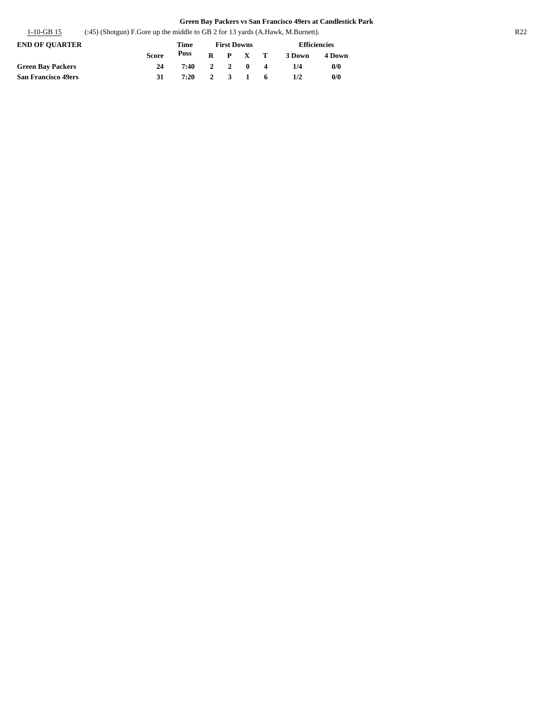| $1-10-GB$ 15 | $(3.45)$ (Shotgun) F. Gore up the middle to GB 2 for 13 yards (A. Hawk, M. Burnett). | R <sub>22</sub> |
|--------------|--------------------------------------------------------------------------------------|-----------------|
|              |                                                                                      |                 |

| <b>END OF OUARTER</b>      |              | Time | <b>First Downs</b> |                 | Efficiencies |        |  |  |
|----------------------------|--------------|------|--------------------|-----------------|--------------|--------|--|--|
|                            | <b>Score</b> | Poss |                    | $R$ $P$ $X$ $T$ | 3 Down       | 4 Down |  |  |
| <b>Green Bay Packers</b>   | 24           | 7:40 |                    | 2 2 0 4         | 1/4          | 0/0    |  |  |
| <b>San Francisco 49ers</b> | 31           | 7:20 |                    | 2 3 1 6         | 1/2          | 0/0    |  |  |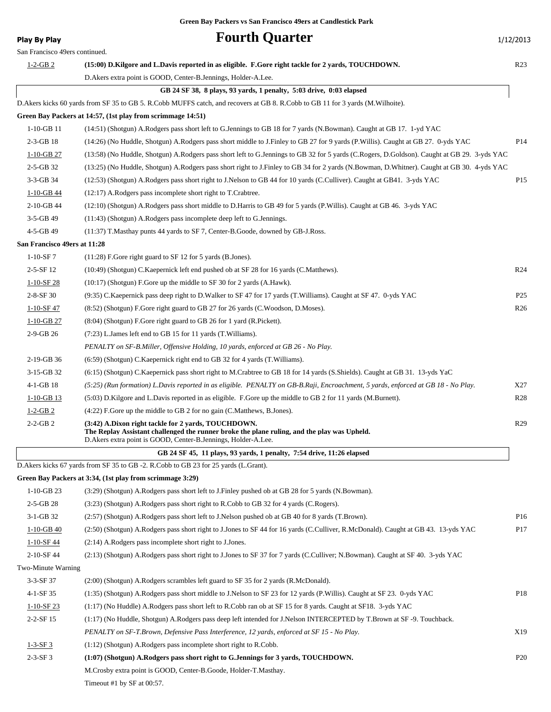### **Play By Play Play Play Fourth Quarter** 1/12/2013 San Francisco 49ers continued. 1-2-GB 2 **(15:00) D.Kilgore and L.Davis reported in as eligible. F.Gore right tackle for 2 yards, TOUCHDOWN.** R23 D.Akers extra point is GOOD, Center-B.Jennings, Holder-A.Lee.  **GB 24 SF 38, 8 plays, 93 yards, 1 penalty, 5:03 drive, 0:03 elapsed** D.Akers kicks 60 yards from SF 35 to GB 5. R.Cobb MUFFS catch, and recovers at GB 8. R.Cobb to GB 11 for 3 yards (M.Wilhoite). **Green Bay Packers at 14:57, (1st play from scrimmage 14:51)** 1-10-GB 11 (14:51) (Shotgun) A.Rodgers pass short left to G.Jennings to GB 18 for 7 yards (N.Bowman). Caught at GB 17. 1-yd YAC 2-3-GB 18 (14:26) (No Huddle, Shotgun) A.Rodgers pass short middle to J.Finley to GB 27 for 9 yards (P.Willis). Caught at GB 27. 0-yds YAC P14 1-10-GB 27 (13:58) (No Huddle, Shotgun) A.Rodgers pass short left to G.Jennings to GB 32 for 5 yards (C.Rogers, D.Goldson). Caught at GB 29. 3-yds YAC 2-5-GB 32 (13:25) (No Huddle, Shotgun) A.Rodgers pass short right to J.Finley to GB 34 for 2 yards (N.Bowman, D.Whitner). Caught at GB 30. 4-yds YAC 3-3-GB 34 (12:53) (Shotgun) A.Rodgers pass short right to J.Nelson to GB 44 for 10 yards (C.Culliver). Caught at GB41. 3-yds YAC P15 1-10-GB 44 (12:17) A.Rodgers pass incomplete short right to T.Crabtree. 2-10-GB 44 (12:10) (Shotgun) A.Rodgers pass short middle to D.Harris to GB 49 for 5 yards (P.Willis). Caught at GB 46. 3-yds YAC 3-5-GB 49 (11:43) (Shotgun) A.Rodgers pass incomplete deep left to G.Jennings. 4-5-GB 49 (11:37) T.Masthay punts 44 yards to SF 7, Center-B.Goode, downed by GB-J.Ross. **San Francisco 49ers at 11:28** 1-10-SF 7 (11:28) F.Gore right guard to SF 12 for 5 yards (B.Jones). 2-5-SF 12 (10:49) (Shotgun) C.Kaepernick left end pushed ob at SF 28 for 16 yards (C.Matthews). R24 1-10-SF 28 (10:17) (Shotgun) F.Gore up the middle to SF 30 for 2 yards (A.Hawk). 2-8-SF 30 (9:35) C.Kaepernick pass deep right to D.Walker to SF 47 for 17 yards (T.Williams). Caught at SF 47. 0-yds YAC P25 1-10-SF 47 (8:52) (Shotgun) F.Gore right guard to GB 27 for 26 yards (C.Woodson, D.Moses). R26 1-10-GB 27 (8:04) (Shotgun) F.Gore right guard to GB 26 for 1 yard (R.Pickett). 2-9-GB 26 (7:23) L.James left end to GB 15 for 11 yards (T.Williams). *PENALTY on SF-B.Miller, Offensive Holding, 10 yards, enforced at GB 26 - No Play.* 2-19-GB 36 (6:59) (Shotgun) C.Kaepernick right end to GB 32 for 4 yards (T.Williams). 3-15-GB 32 (6:15) (Shotgun) C.Kaepernick pass short right to M.Crabtree to GB 18 for 14 yards (S.Shields). Caught at GB 31. 13-yds YaC 4-1-GB 18 *(5:25) (Run formation) L.Davis reported in as eligible. PENALTY on GB-B.Raji, Encroachment, 5 yards, enforced at GB 18 - No Play.* X27 1-10-GB 13 (5:03) D.Kilgore and L.Davis reported in as eligible. F.Gore up the middle to GB 2 for 11 yards (M.Burnett). R28 1-2-GB 2 (4:22) F.Gore up the middle to GB 2 for no gain (C.Matthews, B.Jones). 2-2-GB 2 **(3:42) A.Dixon right tackle for 2 yards, TOUCHDOWN.** R29 **The Replay Assistant challenged the runner broke the plane ruling, and the play was Upheld.** D.Akers extra point is GOOD, Center-B.Jennings, Holder-A.Lee.  **GB 24 SF 45, 11 plays, 93 yards, 1 penalty, 7:54 drive, 11:26 elapsed** D.Akers kicks 67 yards from SF 35 to GB -2. R.Cobb to GB 23 for 25 yards (L.Grant). **Green Bay Packers at 3:34, (1st play from scrimmage 3:29)** 1-10-GB 23 (3:29) (Shotgun) A.Rodgers pass short left to J.Finley pushed ob at GB 28 for 5 yards (N.Bowman). 2-5-GB 28 (3:23) (Shotgun) A.Rodgers pass short right to R.Cobb to GB 32 for 4 yards (C.Rogers). 3-1-GB 32 (2:57) (Shotgun) A.Rodgers pass short left to J.Nelson pushed ob at GB 40 for 8 yards (T.Brown). P16 1-10-GB 40 (2:50) (Shotgun) A.Rodgers pass short right to J.Jones to SF 44 for 16 yards (C.Culliver, R.McDonald). Caught at GB 43. 13-yds YAC P17 1-10-SF 44 (2:14) A.Rodgers pass incomplete short right to J.Jones. 2-10-SF 44 (2:13) (Shotgun) A.Rodgers pass short right to J.Jones to SF 37 for 7 yards (C.Culliver; N.Bowman). Caught at SF 40. 3-yds YAC Two-Minute Warning 3-3-SF 37 (2:00) (Shotgun) A.Rodgers scrambles left guard to SF 35 for 2 yards (R.McDonald). 4-1-SF 35 (1:35) (Shotgun) A.Rodgers pass short middle to J.Nelson to SF 23 for 12 yards (P.Willis). Caught at SF 23. 0-yds YAC P18

- 1-10-SF 23 (1:17) (No Huddle) A.Rodgers pass short left to R.Cobb ran ob at SF 15 for 8 yards. Caught at SF18. 3-yds YAC
- 2-2-SF 15 (1:17) (No Huddle, Shotgun) A.Rodgers pass deep left intended for J.Nelson INTERCEPTED by T.Brown at SF -9. Touchback. *PENALTY on SF-T.Brown, Defensive Pass Interference, 12 yards, enforced at SF 15 - No Play.* X19
- 1-3-SF 3 (1:12) (Shotgun) A.Rodgers pass incomplete short right to R.Cobb.
- 2-3-SF 3 **(1:07) (Shotgun) A.Rodgers pass short right to G.Jennings for 3 yards, TOUCHDOWN.** P20 M.Crosby extra point is GOOD, Center-B.Goode, Holder-T.Masthay.

Timeout #1 by SF at 00:57.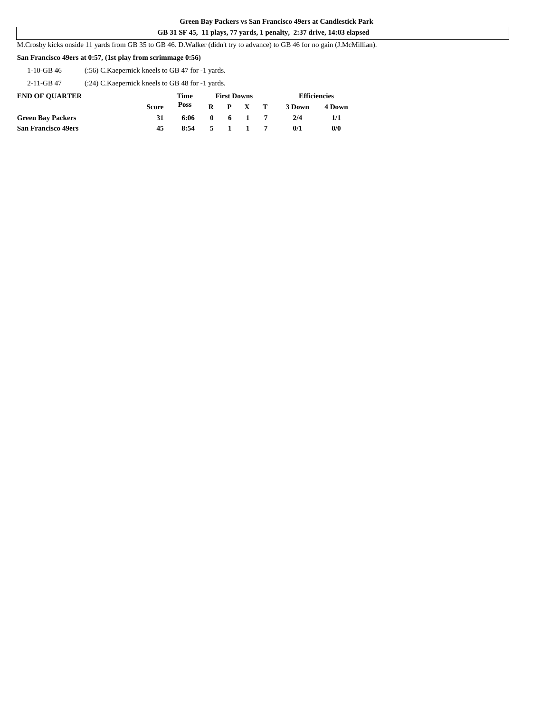#### **GB 31 SF 45, 11 plays, 77 yards, 1 penalty, 2:37 drive, 14:03 elapsed**

M.Crosby kicks onside 11 yards from GB 35 to GB 46. D.Walker (didn't try to advance) to GB 46 for no gain (J.McMillian).

#### **San Francisco 49ers at 0:57, (1st play from scrimmage 0:56)**

1-10-GB 46 (:56) C.Kaepernick kneels to GB 47 for -1 yards.

2-11-GB 47 (:24) C.Kaepernick kneels to GB 48 for -1 yards.

| <b>END OF OUARTER</b>      |       | Time |       | <b>First Downs</b> |                 |        | <b>Efficiencies</b> |
|----------------------------|-------|------|-------|--------------------|-----------------|--------|---------------------|
|                            | Score | Poss |       |                    | $R$ $P$ $X$ $T$ | 3 Down | 4 Down              |
| <b>Green Bay Packers</b>   |       | 6:06 |       |                    | $0 \t 6 \t 1$   | 2/4    | 1/1                 |
| <b>San Francisco 49ers</b> | 45    | 8:54 | 5 1 1 |                    |                 | 0/1    | 0/0                 |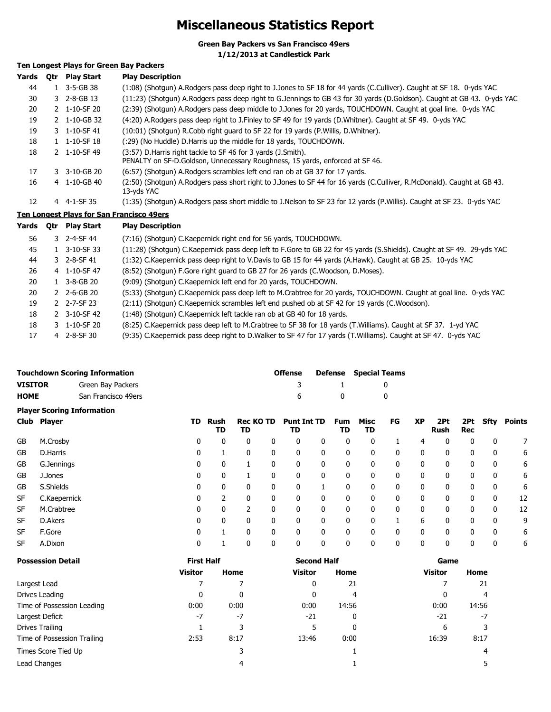### **Miscellaneous Statistics Report**

**Green Bay Packers vs San Francisco 49ers**

**1/12/2013 at Candlestick Park**

### **Ten Longest Plays for Green Bay Packers**

| Yards | 0tr | <b>Play Start</b>        | <b>Play Description</b>                                                                                                                         |
|-------|-----|--------------------------|-------------------------------------------------------------------------------------------------------------------------------------------------|
| 44    |     | 1 3-5-GB 38              | (1:08) (Shotgun) A.Rodgers pass deep right to J.Jones to SF 18 for 44 yards (C.Culliver). Caught at SF 18. 0-yds YAC                            |
| 30    |     | $3$ 2-8-GB 13            | (11:23) (Shotgun) A.Rodgers pass deep right to G.Jennings to GB 43 for 30 yards (D.Goldson). Caught at GB 43. 0-yds YAC                         |
| 20    |     | 2 1-10-SF 20             | (2:39) (Shotgun) A.Rodgers pass deep middle to J.Jones for 20 yards, TOUCHDOWN. Caught at goal line. 0-yds YAC                                  |
| 19    |     | 2 1-10-GB 32             | (4:20) A.Rodgers pass deep right to J.Finley to SF 49 for 19 yards (D.Whitner). Caught at SF 49. 0-yds YAC                                      |
| 19    |     | 3 1-10-SF 41             | (10:01) (Shotgun) R.Cobb right guard to SF 22 for 19 yards (P. Willis, D. Whitner).                                                             |
| 18    |     | $1 \quad 1 - 10 - SF$ 18 | (:29) (No Huddle) D.Harris up the middle for 18 yards, TOUCHDOWN.                                                                               |
| 18    |     | 2 1-10-SF 49             | (3:57) D. Harris right tackle to SF 46 for 3 yards (J. Smith).<br>PENALTY on SF-D. Goldson, Unnecessary Roughness, 15 yards, enforced at SF 46. |
| 17    |     | $3 - 3 - 10 - GB$ 20     | (6:57) (Shotgun) A.Rodgers scrambles left end ran ob at GB 37 for 17 yards.                                                                     |
| 16    |     | 4 1-10-GB 40             | (2:50) (Shotqun) A.Rodgers pass short right to J.Jones to SF 44 for 16 yards (C.Culliver, R.McDonald). Caught at GB 43.<br>13-yds YAC           |
| 12    |     | 4 4-1-SF 35              | (1:35) (Shotgun) A.Rodgers pass short middle to J.Nelson to SF 23 for 12 yards (P.Willis). Caught at SF 23. 0-yds YAC                           |

#### **Ten Longest Plays for San Francisco 49ers**

| Yards | 0tr | Play Start                    | <b>Play Description</b>                                                                                                |
|-------|-----|-------------------------------|------------------------------------------------------------------------------------------------------------------------|
| 56    |     | 3 2-4-SF 44                   | (7:16) (Shotgun) C.Kaepernick right end for 56 yards, TOUCHDOWN.                                                       |
| 45    |     | 1 3-10-SF 33                  | (11:28) (Shotgun) C.Kaepernick pass deep left to F.Gore to GB 22 for 45 yards (S.Shields). Caught at SF 49. 29-yds YAC |
| 44    |     | 3 2-8-SF 41                   | (1:32) C.Kaepernick pass deep right to V.Davis to GB 15 for 44 yards (A.Hawk). Caught at GB 25. 10-yds YAC             |
| 26    |     | 4 1-10-SF 47                  | (8:52) (Shotgun) F.Gore right guard to GB 27 for 26 yards (C.Woodson, D.Moses).                                        |
| 20    |     | $1\quad 3-8-GB\;20$           | (9:09) (Shotgun) C.Kaepernick left end for 20 yards, TOUCHDOWN.                                                        |
| 20    |     | $2 \quad 2 - 6 - GB \quad 20$ | (5:33) (Shotgun) C.Kaepernick pass deep left to M.Crabtree for 20 yards, TOUCHDOWN. Caught at goal line. 0-yds YAC     |
| 19    |     | 2 2-7-SF 23                   | (2:11) (Shotgun) C.Kaepernick scrambles left end pushed ob at SF 42 for 19 yards (C.Woodson).                          |
| 18    |     | 2 3-10-SF 42                  | (1:48) (Shotgun) C.Kaepernick left tackle ran ob at GB 40 for 18 yards.                                                |
| 18    |     | 3 1-10-SF 20                  | (8:25) C.Kaepernick pass deep left to M.Crabtree to SF 38 for 18 yards (T.Williams). Caught at SF 37. 1-yd YAC         |
| 17    |     | $4$ 2-8-SF 30                 | (9:35) C.Kaepernick pass deep right to D.Walker to SF 47 for 17 yards (T.Williams). Caught at SF 47. 0-yds YAC         |

|                | <b>Touchdown Scoring Information</b> | <b>Offense</b> |              | <b>Defense</b> Special Teams |
|----------------|--------------------------------------|----------------|--------------|------------------------------|
| <b>VISITOR</b> | Green Bay Packers                    |                | $\mathbf{1}$ |                              |
| <b>HOME</b>    | San Francisco 49ers                  | 6              | $\mathbf{0}$ |                              |

|           | <b>Player Scoring Information</b> |     |            |                        |              |                          |   |                  |            |              |              |                    |            |             |        |
|-----------|-----------------------------------|-----|------------|------------------------|--------------|--------------------------|---|------------------|------------|--------------|--------------|--------------------|------------|-------------|--------|
|           | Club Player                       | TD. | Rush<br>TD | <b>Rec KO TD</b><br>TD |              | <b>Punt Int TD</b><br>TD |   | <b>Fum</b><br>TD | Misc<br>TD | FG           | <b>XP</b>    | 2Pt<br><b>Rush</b> | 2Pt<br>Rec | Sfty        | Points |
| GB        | M.Crosby                          | 0   | 0          | $\mathbf{0}$           | 0            | 0                        | 0 | 0                | 0          |              | 4            | $\mathbf{0}$       | 0          | 0           | 7      |
| GB        | D.Harris                          | 0   |            | 0                      | 0            | 0                        | 0 | 0                | 0          | 0            | 0            | $\mathbf{0}$       | 0          | 0           | 6      |
| <b>GB</b> | G.Jennings                        | 0   | 0          |                        | 0            | 0                        | 0 | 0                | 0          | 0            | $\mathbf{0}$ | 0                  | 0          | $\mathbf 0$ | 6      |
| GB        | J.Jones                           | 0   | 0          |                        | 0            | 0                        | 0 | 0                | 0          | $\mathbf{0}$ | 0            | 0                  | 0          | $\mathbf 0$ | 6      |
| GB        | S.Shields                         | 0   | 0          | 0                      | $\mathbf{0}$ | 0                        |   | 0                | 0          | 0            | 0            | 0                  | 0          | 0           | 6      |
| <b>SF</b> | C.Kaepernick                      | 0   | ำ          | $\Omega$               | 0            | 0                        | 0 | 0                | 0          | $\mathbf{0}$ | $\mathbf{0}$ | 0                  | 0          | $\mathbf 0$ | 12     |
| <b>SF</b> | M.Crabtree                        | 0   | 0          | 2                      | 0            | 0                        | 0 | 0                | 0          | 0            | $\mathbf{0}$ | $\Omega$           | 0          | 0           | 12     |
| <b>SF</b> | D.Akers                           | 0   | 0          | 0                      | 0            | 0                        | 0 | 0                | 0          |              | 6            | 0                  | 0          | 0           | 9      |
| <b>SF</b> | F.Gore                            | 0   |            | 0                      | 0            | 0                        | 0 | 0                | 0          | 0            | $\mathbf{0}$ | 0                  | 0          | $\mathbf 0$ | 6      |
| <b>SF</b> | A.Dixon                           | 0   |            | 0                      | 0            | 0                        | 0 | 0                | 0          | 0            | 0            | 0                  | 0          | $\mathbf 0$ | 6      |

| <b>Possession Detail</b>    | <b>First Half</b> |      | <b>Second Half</b> |       | Game           |       |
|-----------------------------|-------------------|------|--------------------|-------|----------------|-------|
|                             | <b>Visitor</b>    | Home | <b>Visitor</b>     | Home  | <b>Visitor</b> | Home  |
| Largest Lead                |                   |      | 0                  | 21    |                | 21    |
| Drives Leading              | 0                 | 0    | 0                  | 4     | 0              | 4     |
| Time of Possession Leading  | 0:00              | 0:00 | 0:00               | 14:56 | 0:00           | 14:56 |
| Largest Deficit             | $-7$              | $-7$ | -21                | 0     | $-21$          | -7    |
| Drives Trailing             |                   | 3    | 5                  | 0     | 6              |       |
| Time of Possession Trailing | 2:53              | 8:17 | 13:46              | 0:00  | 16:39          | 8:17  |
| Times Score Tied Up         |                   | 3    |                    |       |                | 4     |
| Lead Changes                |                   | 4    |                    |       |                |       |